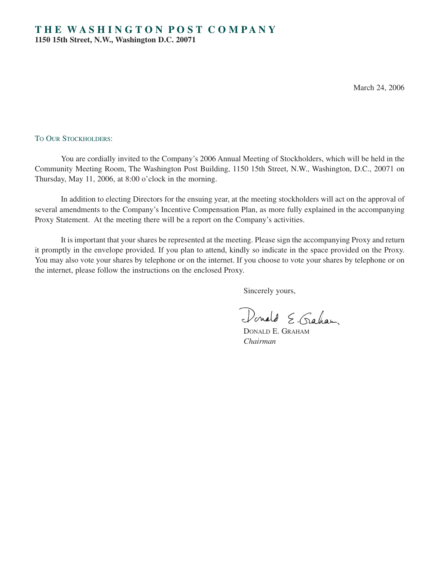March 24, 2006

## TO OUR STOCKHOLDERS:

You are cordially invited to the Company's 2006 Annual Meeting of Stockholders, which will be held in the Community Meeting Room, The Washington Post Building, 1150 15th Street, N.W., Washington, D.C., 20071 on Thursday, May 11, 2006, at 8:00 o'clock in the morning.

In addition to electing Directors for the ensuing year, at the meeting stockholders will act on the approval of several amendments to the Company's Incentive Compensation Plan, as more fully explained in the accompanying Proxy Statement. At the meeting there will be a report on the Company's activities.

It is important that your shares be represented at the meeting. Please sign the accompanying Proxy and return it promptly in the envelope provided. If you plan to attend, kindly so indicate in the space provided on the Proxy. You may also vote your shares by telephone or on the internet. If you choose to vote your shares by telephone or on the internet, please follow the instructions on the enclosed Proxy.

Sincerely yours,

Donald E. Graham

DONALD E. GRAHAM *Chairman*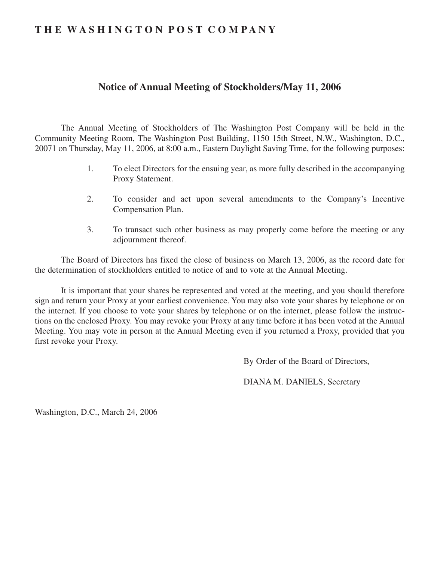# **T H E W A S H I N G T O N P O S T C O M P A N Y**

# **Notice of Annual Meeting of Stockholders/May 11, 2006**

The Annual Meeting of Stockholders of The Washington Post Company will be held in the Community Meeting Room, The Washington Post Building, 1150 15th Street, N.W., Washington, D.C., 20071 on Thursday, May 11, 2006, at 8:00 a.m., Eastern Daylight Saving Time, for the following purposes:

- 1. To elect Directors for the ensuing year, as more fully described in the accompanying Proxy Statement.
- 2. To consider and act upon several amendments to the Company's Incentive Compensation Plan.
- 3. To transact such other business as may properly come before the meeting or any adjournment thereof.

The Board of Directors has fixed the close of business on March 13, 2006, as the record date for the determination of stockholders entitled to notice of and to vote at the Annual Meeting.

It is important that your shares be represented and voted at the meeting, and you should therefore sign and return your Proxy at your earliest convenience. You may also vote your shares by telephone or on the internet. If you choose to vote your shares by telephone or on the internet, please follow the instructions on the enclosed Proxy. You may revoke your Proxy at any time before it has been voted at the Annual Meeting. You may vote in person at the Annual Meeting even if you returned a Proxy, provided that you first revoke your Proxy.

By Order of the Board of Directors,

DIANA M. DANIELS, Secretary

Washington, D.C., March 24, 2006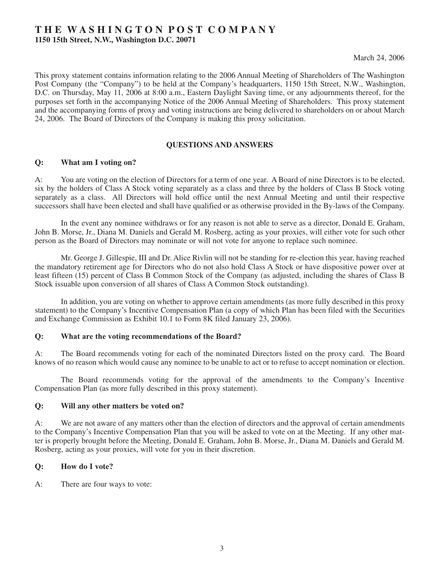# **T H E W A S H I N G T O N P O S T C O M P A N Y**

**1150 15th Street, N.W., Washington D.C. 20071**

March 24, 2006

This proxy statement contains information relating to the 2006 Annual Meeting of Shareholders of The Washington Post Company (the "Company") to be held at the Company's headquarters, 1150 15th Street, N.W., Washington, D.C. on Thursday, May 11, 2006 at 8:00 a.m., Eastern Daylight Saving time, or any adjournments thereof, for the purposes set forth in the accompanying Notice of the 2006 Annual Meeting of Shareholders. This proxy statement and the accompanying forms of proxy and voting instructions are being delivered to shareholders on or about March 24, 2006. The Board of Directors of the Company is making this proxy solicitation.

## **QUESTIONS AND ANSWERS**

## **Q: What am I voting on?**

A: You are voting on the election of Directors for a term of one year. A Board of nine Directors is to be elected, six by the holders of Class A Stock voting separately as a class and three by the holders of Class B Stock voting separately as a class. All Directors will hold office until the next Annual Meeting and until their respective successors shall have been elected and shall have qualified or as otherwise provided in the By-laws of the Company.

In the event any nominee withdraws or for any reason is not able to serve as a director, Donald E. Graham, John B. Morse, Jr., Diana M. Daniels and Gerald M. Rosberg, acting as your proxies, will either vote for such other person as the Board of Directors may nominate or will not vote for anyone to replace such nominee.

Mr. George J. Gillespie, III and Dr. Alice Rivlin will not be standing for re-election this year, having reached the mandatory retirement age for Directors who do not also hold Class A Stock or have dispositive power over at least fifteen (15) percent of Class B Common Stock of the Company (as adjusted, including the shares of Class B Stock issuable upon conversion of all shares of Class A Common Stock outstanding).

In addition, you are voting on whether to approve certain amendments (as more fully described in this proxy statement) to the Company's Incentive Compensation Plan (a copy of which Plan has been filed with the Securities and Exchange Commission as Exhibit 10.1 to Form 8K filed January 23, 2006).

## **Q: What are the voting recommendations of the Board?**

A: The Board recommends voting for each of the nominated Directors listed on the proxy card. The Board knows of no reason which would cause any nominee to be unable to act or to refuse to accept nomination or election.

The Board recommends voting for the approval of the amendments to the Company's Incentive Compensation Plan (as more fully described in this proxy statement).

## **Q: Will any other matters be voted on?**

A: We are not aware of any matters other than the election of directors and the approval of certain amendments to the Company's Incentive Compensation Plan that you will be asked to vote on at the Meeting. If any other matter is properly brought before the Meeting, Donald E. Graham, John B. Morse, Jr., Diana M. Daniels and Gerald M. Rosberg, acting as your proxies, will vote for you in their discretion.

## **Q: How do I vote?**

A: There are four ways to vote: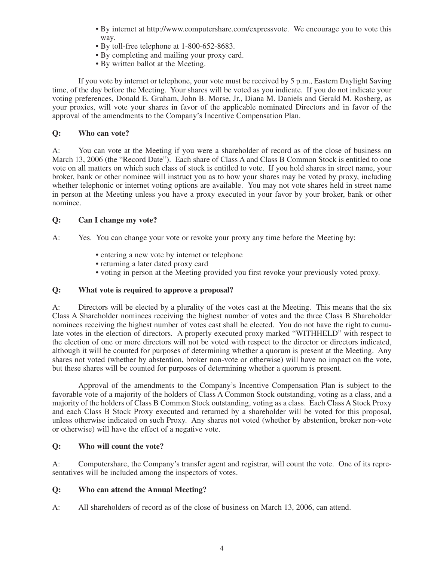- By internet at http://www.computershare.com/expressvote. We encourage you to vote this way.
- By toll-free telephone at 1-800-652-8683.
- By completing and mailing your proxy card.
- By written ballot at the Meeting.

If you vote by internet or telephone, your vote must be received by 5 p.m., Eastern Daylight Saving time, of the day before the Meeting. Your shares will be voted as you indicate. If you do not indicate your voting preferences, Donald E. Graham, John B. Morse, Jr., Diana M. Daniels and Gerald M. Rosberg, as your proxies, will vote your shares in favor of the applicable nominated Directors and in favor of the approval of the amendments to the Company's Incentive Compensation Plan.

## **Q: Who can vote?**

A: You can vote at the Meeting if you were a shareholder of record as of the close of business on March 13, 2006 (the "Record Date"). Each share of Class A and Class B Common Stock is entitled to one vote on all matters on which such class of stock is entitled to vote. If you hold shares in street name, your broker, bank or other nominee will instruct you as to how your shares may be voted by proxy, including whether telephonic or internet voting options are available. You may not vote shares held in street name in person at the Meeting unless you have a proxy executed in your favor by your broker, bank or other nominee.

## **Q: Can I change my vote?**

A: Yes. You can change your vote or revoke your proxy any time before the Meeting by:

- entering a new vote by internet or telephone
- returning a later dated proxy card
- voting in person at the Meeting provided you first revoke your previously voted proxy.

## **Q: What vote is required to approve a proposal?**

A: Directors will be elected by a plurality of the votes cast at the Meeting. This means that the six Class A Shareholder nominees receiving the highest number of votes and the three Class B Shareholder nominees receiving the highest number of votes cast shall be elected. You do not have the right to cumulate votes in the election of directors. A properly executed proxy marked "WITHHELD" with respect to the election of one or more directors will not be voted with respect to the director or directors indicated, although it will be counted for purposes of determining whether a quorum is present at the Meeting. Any shares not voted (whether by abstention, broker non-vote or otherwise) will have no impact on the vote, but these shares will be counted for purposes of determining whether a quorum is present.

Approval of the amendments to the Company's Incentive Compensation Plan is subject to the favorable vote of a majority of the holders of Class A Common Stock outstanding, voting as a class, and a majority of the holders of Class B Common Stock outstanding, voting as a class. Each Class A Stock Proxy and each Class B Stock Proxy executed and returned by a shareholder will be voted for this proposal, unless otherwise indicated on such Proxy. Any shares not voted (whether by abstention, broker non-vote or otherwise) will have the effect of a negative vote.

## **Q: Who will count the vote?**

A: Computershare, the Company's transfer agent and registrar, will count the vote. One of its representatives will be included among the inspectors of votes.

## **Q: Who can attend the Annual Meeting?**

A: All shareholders of record as of the close of business on March 13, 2006, can attend.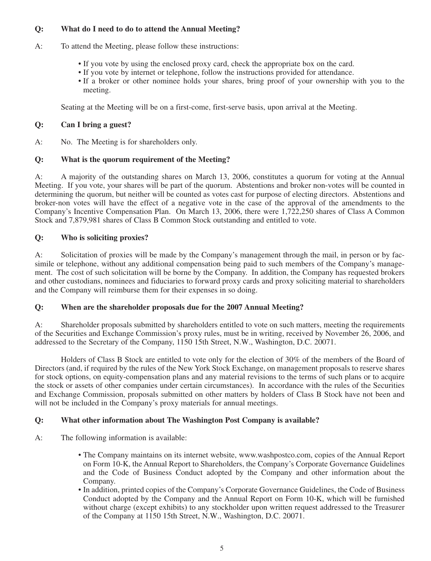## **Q: What do I need to do to attend the Annual Meeting?**

- A: To attend the Meeting, please follow these instructions:
	- If you vote by using the enclosed proxy card, check the appropriate box on the card.
	- If you vote by internet or telephone, follow the instructions provided for attendance.
	- If a broker or other nominee holds your shares, bring proof of your ownership with you to the meeting.

Seating at the Meeting will be on a first-come, first-serve basis, upon arrival at the Meeting.

## **Q: Can I bring a guest?**

A: No. The Meeting is for shareholders only.

## **Q: What is the quorum requirement of the Meeting?**

A: A majority of the outstanding shares on March 13, 2006, constitutes a quorum for voting at the Annual Meeting. If you vote, your shares will be part of the quorum. Abstentions and broker non-votes will be counted in determining the quorum, but neither will be counted as votes cast for purpose of electing directors. Abstentions and broker-non votes will have the effect of a negative vote in the case of the approval of the amendments to the Company's Incentive Compensation Plan. On March 13, 2006, there were 1,722,250 shares of Class A Common Stock and 7,879,981 shares of Class B Common Stock outstanding and entitled to vote.

## **Q: Who is soliciting proxies?**

A: Solicitation of proxies will be made by the Company's management through the mail, in person or by facsimile or telephone, without any additional compensation being paid to such members of the Company's management. The cost of such solicitation will be borne by the Company. In addition, the Company has requested brokers and other custodians, nominees and fiduciaries to forward proxy cards and proxy soliciting material to shareholders and the Company will reimburse them for their expenses in so doing.

## **Q: When are the shareholder proposals due for the 2007 Annual Meeting?**

A: Shareholder proposals submitted by shareholders entitled to vote on such matters, meeting the requirements of the Securities and Exchange Commission's proxy rules, must be in writing, received by November 26, 2006, and addressed to the Secretary of the Company, 1150 15th Street, N.W., Washington, D.C. 20071.

Holders of Class B Stock are entitled to vote only for the election of 30% of the members of the Board of Directors (and, if required by the rules of the New York Stock Exchange, on management proposals to reserve shares for stock options, on equity-compensation plans and any material revisions to the terms of such plans or to acquire the stock or assets of other companies under certain circumstances). In accordance with the rules of the Securities and Exchange Commission, proposals submitted on other matters by holders of Class B Stock have not been and will not be included in the Company's proxy materials for annual meetings.

## **Q: What other information about The Washington Post Company is available?**

- A: The following information is available:
	- The Company maintains on its internet website, www.washpostco.com, copies of the Annual Report on Form 10-K, the Annual Report to Shareholders, the Company's Corporate Governance Guidelines and the Code of Business Conduct adopted by the Company and other information about the Company.
	- In addition, printed copies of the Company's Corporate Governance Guidelines, the Code of Business Conduct adopted by the Company and the Annual Report on Form 10-K, which will be furnished without charge (except exhibits) to any stockholder upon written request addressed to the Treasurer of the Company at 1150 15th Street, N.W., Washington, D.C. 20071.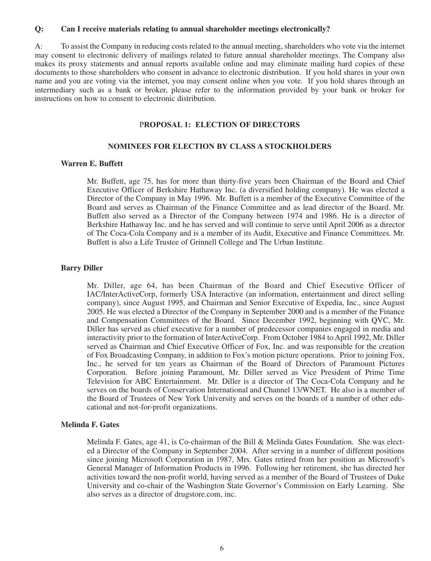#### **Q: Can I receive materials relating to annual shareholder meetings electronically?**

A: To assist the Company in reducing costs related to the annual meeting, shareholders who vote via the internet may consent to electronic delivery of mailings related to future annual shareholder meetings. The Company also makes its proxy statements and annual reports available online and may eliminate mailing hard copies of these documents to those shareholders who consent in advance to electronic distribution. If you hold shares in your own name and you are voting via the internet, you may consent online when you vote. If you hold shares through an intermediary such as a bank or broker, please refer to the information provided by your bank or broker for instructions on how to consent to electronic distribution.

### P**ROPOSAL 1: ELECTION OF DIRECTORS**

#### **NOMINEES FOR ELECTION BY CLASS A STOCKHOLDERS**

### **Warren E. Buffett**

Mr. Buffett, age 75, has for more than thirty-five years been Chairman of the Board and Chief Executive Officer of Berkshire Hathaway Inc. (a diversified holding company). He was elected a Director of the Company in May 1996. Mr. Buffett is a member of the Executive Committee of the Board and serves as Chairman of the Finance Committee and as lead director of the Board. Mr. Buffett also served as a Director of the Company between 1974 and 1986. He is a director of Berkshire Hathaway Inc. and he has served and will continue to serve until April 2006 as a director of The Coca-Cola Company and is a member of its Audit, Executive and Finance Committees. Mr. Buffett is also a Life Trustee of Grinnell College and The Urban Institute.

### **Barry Diller**

Mr. Diller, age 64, has been Chairman of the Board and Chief Executive Officer of IAC/InterActiveCorp, formerly USA Interactive (an information, entertainment and direct selling company), since August 1995, and Chairman and Senior Executive of Expedia, Inc., since August 2005. He was elected a Director of the Company in September 2000 and is a member of the Finance and Compensation Committees of the Board. Since December 1992, beginning with QVC, Mr. Diller has served as chief executive for a number of predecessor companies engaged in media and interactivity prior to the formation of InterActiveCorp. From October 1984 to April 1992, Mr. Diller served as Chairman and Chief Executive Officer of Fox, Inc. and was responsible for the creation of Fox Broadcasting Company, in addition to Fox's motion picture operations. Prior to joining Fox, Inc., he served for ten years as Chairman of the Board of Directors of Paramount Pictures Corporation. Before joining Paramount, Mr. Diller served as Vice President of Prime Time Television for ABC Entertainment. Mr. Diller is a director of The Coca-Cola Company and he serves on the boards of Conservation International and Channel 13/WNET. He also is a member of the Board of Trustees of New York University and serves on the boards of a number of other educational and not-for-profit organizations.

#### **Melinda F. Gates**

Melinda F. Gates, age 41, is Co-chairman of the Bill & Melinda Gates Foundation. She was elected a Director of the Company in September 2004. After serving in a number of different positions since joining Microsoft Corporation in 1987, Mrs. Gates retired from her position as Microsoft's General Manager of Information Products in 1996. Following her retirement, she has directed her activities toward the non-profit world, having served as a member of the Board of Trustees of Duke University and co-chair of the Washington State Governor's Commission on Early Learning. She also serves as a director of drugstore.com, inc.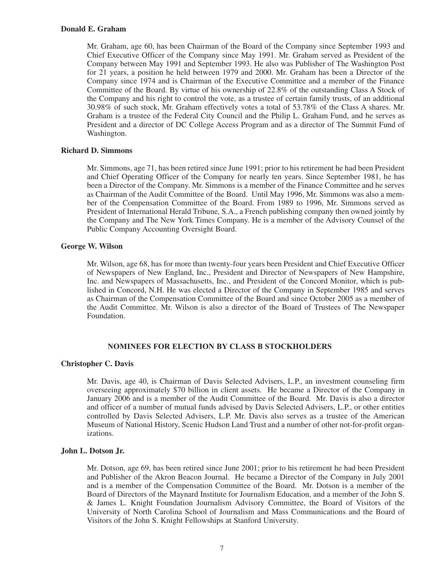#### **Donald E. Graham**

Mr. Graham, age 60, has been Chairman of the Board of the Company since September 1993 and Chief Executive Officer of the Company since May 1991. Mr. Graham served as President of the Company between May 1991 and September 1993. He also was Publisher of The Washington Post for 21 years, a position he held between 1979 and 2000. Mr. Graham has been a Director of the Company since 1974 and is Chairman of the Executive Committee and a member of the Finance Committee of the Board. By virtue of his ownership of 22.8% of the outstanding Class A Stock of the Company and his right to control the vote, as a trustee of certain family trusts, of an additional 30.98% of such stock, Mr. Graham effectively votes a total of 53.78% of the Class A shares. Mr. Graham is a trustee of the Federal City Council and the Philip L. Graham Fund, and he serves as President and a director of DC College Access Program and as a director of The Summit Fund of Washington.

### **Richard D. Simmons**

Mr. Simmons, age 71, has been retired since June 1991; prior to his retirement he had been President and Chief Operating Officer of the Company for nearly ten years. Since September 1981, he has been a Director of the Company. Mr. Simmons is a member of the Finance Committee and he serves as Chairman of the Audit Committee of the Board. Until May 1996, Mr. Simmons was also a member of the Compensation Committee of the Board. From 1989 to 1996, Mr. Simmons served as President of International Herald Tribune, S.A., a French publishing company then owned jointly by the Company and The New York Times Company. He is a member of the Advisory Counsel of the Public Company Accounting Oversight Board.

### **George W. Wilson**

Mr. Wilson, age 68, has for more than twenty-four years been President and Chief Executive Officer of Newspapers of New England, Inc., President and Director of Newspapers of New Hampshire, Inc. and Newspapers of Massachusetts, Inc., and President of the Concord Monitor, which is published in Concord, N.H. He was elected a Director of the Company in September 1985 and serves as Chairman of the Compensation Committee of the Board and since October 2005 as a member of the Audit Committee. Mr. Wilson is also a director of the Board of Trustees of The Newspaper Foundation.

## **NOMINEES FOR ELECTION BY CLASS B STOCKHOLDERS**

#### **Christopher C. Davis**

Mr. Davis, age 40, is Chairman of Davis Selected Advisers, L.P., an investment counseling firm overseeing approximately \$70 billion in client assets. He became a Director of the Company in January 2006 and is a member of the Audit Committee of the Board. Mr. Davis is also a director and officer of a number of mutual funds advised by Davis Selected Advisers, L.P., or other entities controlled by Davis Selected Advisers, L.P. Mr. Davis also serves as a trustee of the American Museum of National History, Scenic Hudson Land Trust and a number of other not-for-profit organizations.

#### **John L. Dotson Jr.**

Mr. Dotson, age 69, has been retired since June 2001; prior to his retirement he had been President and Publisher of the Akron Beacon Journal. He became a Director of the Company in July 2001 and is a member of the Compensation Committee of the Board. Mr. Dotson is a member of the Board of Directors of the Maynard Institute for Journalism Education, and a member of the John S. & James L. Knight Foundation Journalism Advisory Committee, the Board of Visitors of the University of North Carolina School of Journalism and Mass Communications and the Board of Visitors of the John S. Knight Fellowships at Stanford University.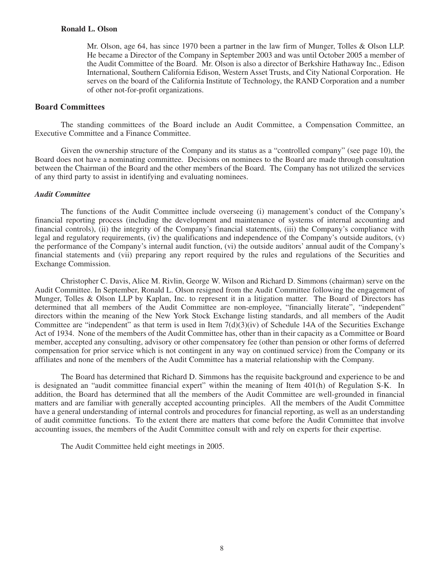#### **Ronald L. Olson**

Mr. Olson, age 64, has since 1970 been a partner in the law firm of Munger, Tolles & Olson LLP. He became a Director of the Company in September 2003 and was until October 2005 a member of the Audit Committee of the Board. Mr. Olson is also a director of Berkshire Hathaway Inc., Edison International, Southern California Edison, Western Asset Trusts, and City National Corporation. He serves on the board of the California Institute of Technology, the RAND Corporation and a number of other not-for-profit organizations.

### **Board Committees**

The standing committees of the Board include an Audit Committee, a Compensation Committee, an Executive Committee and a Finance Committee.

Given the ownership structure of the Company and its status as a "controlled company" (see page 10), the Board does not have a nominating committee. Decisions on nominees to the Board are made through consultation between the Chairman of the Board and the other members of the Board. The Company has not utilized the services of any third party to assist in identifying and evaluating nominees.

#### *Audit Committee*

The functions of the Audit Committee include overseeing (i) management's conduct of the Company's financial reporting process (including the development and maintenance of systems of internal accounting and financial controls), (ii) the integrity of the Company's financial statements, (iii) the Company's compliance with legal and regulatory requirements, (iv) the qualifications and independence of the Company's outside auditors, (v) the performance of the Company's internal audit function, (vi) the outside auditors' annual audit of the Company's financial statements and (vii) preparing any report required by the rules and regulations of the Securities and Exchange Commission.

Christopher C. Davis, Alice M. Rivlin, George W. Wilson and Richard D. Simmons (chairman) serve on the Audit Committee. In September, Ronald L. Olson resigned from the Audit Committee following the engagement of Munger, Tolles & Olson LLP by Kaplan, Inc. to represent it in a litigation matter. The Board of Directors has determined that all members of the Audit Committee are non-employee, "financially literate", "independent" directors within the meaning of the New York Stock Exchange listing standards, and all members of the Audit Committee are "independent" as that term is used in Item  $7(d)(3)(iv)$  of Schedule 14A of the Securities Exchange Act of 1934. None of the members of the Audit Committee has, other than in their capacity as a Committee or Board member, accepted any consulting, advisory or other compensatory fee (other than pension or other forms of deferred compensation for prior service which is not contingent in any way on continued service) from the Company or its affiliates and none of the members of the Audit Committee has a material relationship with the Company.

The Board has determined that Richard D. Simmons has the requisite background and experience to be and is designated an "audit committee financial expert" within the meaning of Item 401(h) of Regulation S-K. In addition, the Board has determined that all the members of the Audit Committee are well-grounded in financial matters and are familiar with generally accepted accounting principles. All the members of the Audit Committee have a general understanding of internal controls and procedures for financial reporting, as well as an understanding of audit committee functions. To the extent there are matters that come before the Audit Committee that involve accounting issues, the members of the Audit Committee consult with and rely on experts for their expertise.

The Audit Committee held eight meetings in 2005.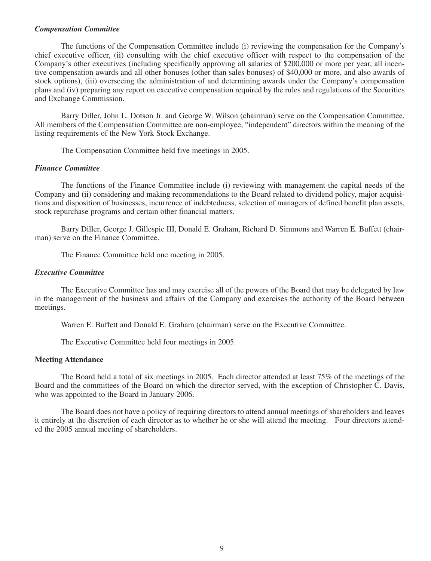#### *Compensation Committee*

The functions of the Compensation Committee include (i) reviewing the compensation for the Company's chief executive officer, (ii) consulting with the chief executive officer with respect to the compensation of the Company's other executives (including specifically approving all salaries of \$200,000 or more per year, all incentive compensation awards and all other bonuses (other than sales bonuses) of \$40,000 or more, and also awards of stock options), (iii) overseeing the administration of and determining awards under the Company's compensation plans and (iv) preparing any report on executive compensation required by the rules and regulations of the Securities and Exchange Commission.

Barry Diller, John L. Dotson Jr. and George W. Wilson (chairman) serve on the Compensation Committee. All members of the Compensation Committee are non-employee, "independent" directors within the meaning of the listing requirements of the New York Stock Exchange.

The Compensation Committee held five meetings in 2005.

## *Finance Committee*

The functions of the Finance Committee include (i) reviewing with management the capital needs of the Company and (ii) considering and making recommendations to the Board related to dividend policy, major acquisitions and disposition of businesses, incurrence of indebtedness, selection of managers of defined benefit plan assets, stock repurchase programs and certain other financial matters.

Barry Diller, George J. Gillespie III, Donald E. Graham, Richard D. Simmons and Warren E. Buffett (chairman) serve on the Finance Committee.

The Finance Committee held one meeting in 2005.

#### *Executive Committee*

The Executive Committee has and may exercise all of the powers of the Board that may be delegated by law in the management of the business and affairs of the Company and exercises the authority of the Board between meetings.

Warren E. Buffett and Donald E. Graham (chairman) serve on the Executive Committee.

The Executive Committee held four meetings in 2005.

#### **Meeting Attendance**

The Board held a total of six meetings in 2005. Each director attended at least 75% of the meetings of the Board and the committees of the Board on which the director served, with the exception of Christopher C. Davis, who was appointed to the Board in January 2006.

The Board does not have a policy of requiring directors to attend annual meetings of shareholders and leaves it entirely at the discretion of each director as to whether he or she will attend the meeting. Four directors attended the 2005 annual meeting of shareholders.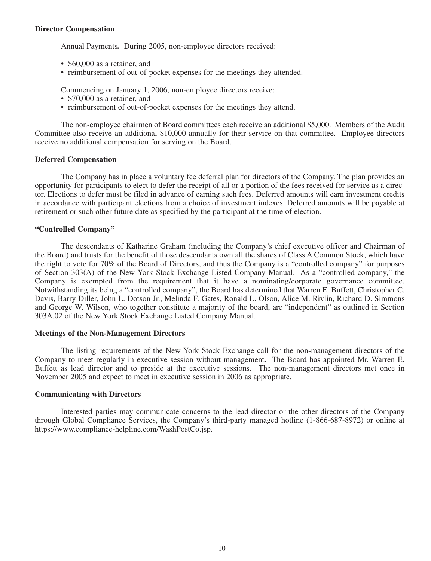### **Director Compensation**

Annual Payments*.* During 2005, non-employee directors received:

- \$60,000 as a retainer, and
- reimbursement of out-of-pocket expenses for the meetings they attended.

Commencing on January 1, 2006, non-employee directors receive:

- \$70,000 as a retainer, and
- reimbursement of out-of-pocket expenses for the meetings they attend.

The non-employee chairmen of Board committees each receive an additional \$5,000. Members of the Audit Committee also receive an additional \$10,000 annually for their service on that committee. Employee directors receive no additional compensation for serving on the Board.

#### **Deferred Compensation**

The Company has in place a voluntary fee deferral plan for directors of the Company. The plan provides an opportunity for participants to elect to defer the receipt of all or a portion of the fees received for service as a director. Elections to defer must be filed in advance of earning such fees. Deferred amounts will earn investment credits in accordance with participant elections from a choice of investment indexes. Deferred amounts will be payable at retirement or such other future date as specified by the participant at the time of election.

### **"Controlled Company"**

The descendants of Katharine Graham (including the Company's chief executive officer and Chairman of the Board) and trusts for the benefit of those descendants own all the shares of Class A Common Stock, which have the right to vote for 70% of the Board of Directors, and thus the Company is a "controlled company" for purposes of Section 303(A) of the New York Stock Exchange Listed Company Manual. As a "controlled company," the Company is exempted from the requirement that it have a nominating/corporate governance committee. Notwithstanding its being a "controlled company", the Board has determined that Warren E. Buffett, Christopher C. Davis, Barry Diller, John L. Dotson Jr., Melinda F. Gates, Ronald L. Olson, Alice M. Rivlin, Richard D. Simmons and George W. Wilson, who together constitute a majority of the board, are "independent" as outlined in Section 303A.02 of the New York Stock Exchange Listed Company Manual.

#### **Meetings of the Non-Management Directors**

The listing requirements of the New York Stock Exchange call for the non-management directors of the Company to meet regularly in executive session without management. The Board has appointed Mr. Warren E. Buffett as lead director and to preside at the executive sessions. The non-management directors met once in November 2005 and expect to meet in executive session in 2006 as appropriate.

#### **Communicating with Directors**

Interested parties may communicate concerns to the lead director or the other directors of the Company through Global Compliance Services, the Company's third-party managed hotline (1-866-687-8972) or online at https://www.compliance-helpline.com/WashPostCo.jsp.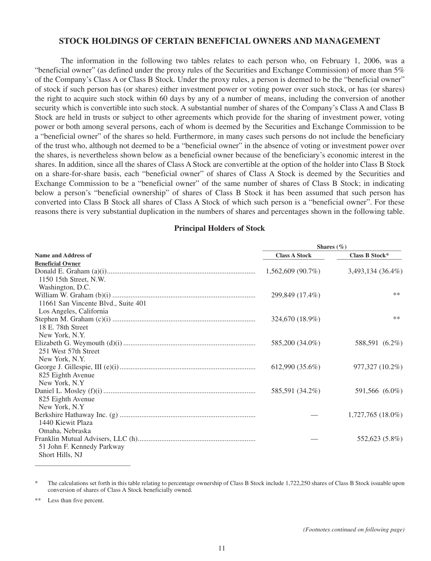## **STOCK HOLDINGS OF CERTAIN BENEFICIAL OWNERS AND MANAGEMENT**

The information in the following two tables relates to each person who, on February 1, 2006, was a "beneficial owner" (as defined under the proxy rules of the Securities and Exchange Commission) of more than 5% of the Company's Class A or Class B Stock. Under the proxy rules, a person is deemed to be the "beneficial owner" of stock if such person has (or shares) either investment power or voting power over such stock, or has (or shares) the right to acquire such stock within 60 days by any of a number of means, including the conversion of another security which is convertible into such stock. A substantial number of shares of the Company's Class A and Class B Stock are held in trusts or subject to other agreements which provide for the sharing of investment power, voting power or both among several persons, each of whom is deemed by the Securities and Exchange Commission to be a "beneficial owner" of the shares so held. Furthermore, in many cases such persons do not include the beneficiary of the trust who, although not deemed to be a "beneficial owner" in the absence of voting or investment power over the shares, is nevertheless shown below as a beneficial owner because of the beneficiary's economic interest in the shares. In addition, since all the shares of Class A Stock are convertible at the option of the holder into Class B Stock on a share-for-share basis, each "beneficial owner" of shares of Class A Stock is deemed by the Securities and Exchange Commission to be a "beneficial owner" of the same number of shares of Class B Stock; in indicating below a person's "beneficial ownership" of shares of Class B Stock it has been assumed that such person has converted into Class B Stock all shares of Class A Stock of which such person is a "beneficial owner". For these reasons there is very substantial duplication in the numbers of shares and percentages shown in the following table.

#### **Principal Holders of Stock**

|                                     | Shares $(\%)$        |                     |  |  |
|-------------------------------------|----------------------|---------------------|--|--|
| <b>Name and Address of</b>          | <b>Class A Stock</b> | Class B Stock*      |  |  |
| <b>Beneficial Owner</b>             |                      |                     |  |  |
|                                     | $1,562,609$ (90.7%)  | 3,493,134 (36.4%)   |  |  |
| 1150 15th Street, N.W.              |                      |                     |  |  |
| Washington, D.C.                    |                      |                     |  |  |
|                                     | 299,849 (17.4%)      | $***$               |  |  |
| 11661 San Vincente Blvd., Suite 401 |                      |                     |  |  |
| Los Angeles, California             |                      |                     |  |  |
|                                     | 324,670 (18.9%)      | $***$               |  |  |
| 18 E. 78th Street                   |                      |                     |  |  |
| New York, N.Y.                      |                      |                     |  |  |
|                                     | 585,200 (34.0%)      | 588,591 (6.2%)      |  |  |
| 251 West 57th Street                |                      |                     |  |  |
| New York, N.Y.                      |                      |                     |  |  |
|                                     | 612,990(35.6%)       | 977,327 (10.2%)     |  |  |
| 825 Eighth Avenue                   |                      |                     |  |  |
| New York, N.Y.                      |                      |                     |  |  |
|                                     | 585,591 (34.2%)      | 591,566 (6.0%)      |  |  |
| 825 Eighth Avenue                   |                      |                     |  |  |
| New York, N.Y.                      |                      |                     |  |  |
|                                     |                      | $1,727,765(18.0\%)$ |  |  |
| 1440 Kiewit Plaza                   |                      |                     |  |  |
| Omaha, Nebraska                     |                      |                     |  |  |
|                                     |                      | 552,623 (5.8%)      |  |  |
| 51 John F. Kennedy Parkway          |                      |                     |  |  |
| Short Hills, NJ                     |                      |                     |  |  |
|                                     |                      |                     |  |  |

The calculations set forth in this table relating to percentage ownership of Class B Stock include 1,722,250 shares of Class B Stock issuable upon conversion of shares of Class A Stock beneficially owned.

Less than five percent.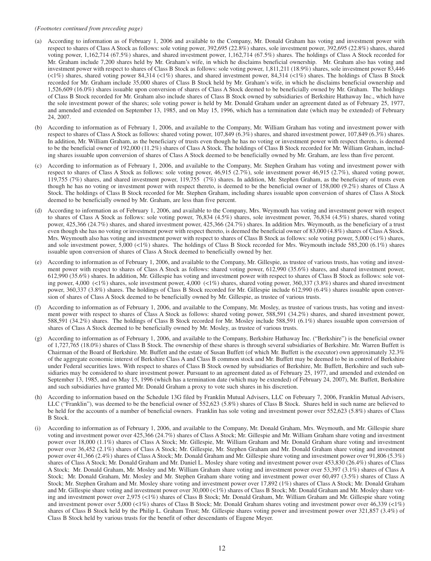#### *(Footnotes continued from preceding page)*

- (a) According to information as of February 1, 2006 and available to the Company, Mr. Donald Graham has voting and investment power with respect to shares of Class A Stock as follows: sole voting power, 392,695 (22.8%) shares, sole investment power, 392,695 (22.8%) shares, shared voting power, 1,162,714 (67.5%) shares, and shared investment power, 1,162,714 (67.5%) shares. The holdings of Class A Stock recorded for Mr. Graham include 7,200 shares held by Mr. Graham's wife, in which he disclaims beneficial ownership. Mr. Graham also has voting and investment power with respect to shares of Class B Stock as follows: sole voting power, 1,811,211 (18.9%) shares, sole investment power 83,446 (<1%) shares, shared voting power 84,314 (<1%) shares, and shared investment power, 84,314 (<1%) shares. The holdings of Class B Stock recorded for Mr. Graham include 35,000 shares of Class B Stock held by Mr. Graham's wife, in which he disclaims beneficial ownership and 1,526,609 (16.0%) shares issuable upon conversion of shares of Class A Stock deemed to be beneficially owned by Mr. Graham. The holdings of Class B Stock recorded for Mr. Graham also include shares of Class B Stock owned by subsidiaries of Berkshire Hathaway Inc., which have the sole investment power of the shares; sole voting power is held by Mr. Donald Graham under an agreement dated as of February 25, 1977, and amended and extended on September 13, 1985, and on May 15, 1996, which has a termination date (which may be extended) of February 24, 2007.
- (b) According to information as of February 1, 2006, and available to the Company, Mr. William Graham has voting and investment power with respect to shares of Class A Stock as follows: shared voting power, 107,849 (6.3%) shares, and shared investment power, 107,849 (6.3%) shares. In addition, Mr. William Graham, as the beneficiary of trusts even though he has no voting or investment power with respect thereto, is deemed to be the beneficial owner of 192,000 (11.2%) shares of Class A Stock. The holdings of Class B Stock recorded for Mr. William Graham, including shares issuable upon conversion of shares of Class A Stock deemed to be beneficially owned by Mr. Graham, are less than five percent.
- (c) According to information as of February 1, 2006, and available to the Company, Mr. Stephen Graham has voting and investment power with respect to shares of Class A Stock as follows: sole voting power, 46,915 (2.7%), sole investment power 46,915 (2.7%), shared voting power, 119,755 (7%) shares, and shared investment power, 119,755 (7%) shares. In addition, Mr. Stephen Graham, as the beneficiary of trusts even though he has no voting or investment power with respect thereto, is deemed to be the beneficial owner of 158,000 (9.2%) shares of Class A Stock. The holdings of Class B Stock recorded for Mr. Stephen Graham, including shares issuable upon conversion of shares of Class A Stock deemed to be beneficially owned by Mr. Graham, are less than five percent.
- (d) According to information as of February 1, 2006, and available to the Company, Mrs. Weymouth has voting and investment power with respect to shares of Class A Stock as follows: sole voting power, 76,834 (4.5%) shares, sole investment power, 76,834 (4.5%) shares, shared voting power, 425,366 (24.7%) shares, and shared investment power, 425,366 (24.7%) shares. In addition Mrs. Weymouth, as the beneficiary of a trust even though she has no voting or investment power with respect thereto, is deemed the beneficial owner of 83,000 (4.8%) shares of Class A Stock. Mrs. Weymouth also has voting and investment power with respect to shares of Class B Stock as follows: sole voting power, 5,000 (<1%) shares, and sole investment power, 5,000 (<1%) shares. The holdings of Class B Stock recorded for Mrs. Weymouth include 585,200 (6.1%) shares issuable upon conversion of shares of Class A Stock deemed to beneficially owned by her.
- (e) According to information as of February 1, 2006, and available to the Company, Mr. Gillespie, as trustee of various trusts, has voting and investment power with respect to shares of Class A Stock as follows: shared voting power, 612,990 (35.6%) shares, and shared investment power, 612,990 (35.6%) shares. In addition, Mr. Gillespie has voting and investment power with respect to shares of Class B Stock as follows: sole voting power, 4,000 (<1%) shares, sole investment power, 4,000 (<1%) shares, shared voting power, 360,337 (3.8%) shares and shared investment power, 360,337 (3.8%) shares. The holdings of Class B Stock recorded for Mr. Gillespie include 612,990 (6.4%) shares issuable upon conversion of shares of Class A Stock deemed to be beneficially owned by Mr. Gillespie, as trustee of various trusts.
- (f) According to information as of February 1, 2006, and available to the Company, Mr. Mosley, as trustee of various trusts, has voting and investment power with respect to shares of Class A Stock as follows: shared voting power, 588,591 (34.2%) shares, and shared investment power, 588,591 (34.2%) shares. The holdings of Class B Stock recorded for Mr. Mosley include 588,591 (6.1%) shares issuable upon conversion of shares of Class A Stock deemed to be beneficially owned by Mr. Mosley, as trustee of various trusts.
- (g) According to information as of February 1, 2006, and available to the Company, Berkshire Hathaway Inc. ("Berkshire") is the beneficial owner of 1,727,765 (18.0%) shares of Class B Stock. The ownership of these shares is through several subsidiaries of Berkshire. Mr. Warren Buffett is Chairman of the Board of Berkshire. Mr. Buffett and the estate of Susan Buffett (of which Mr. Buffett is the executor) own approximately 32.3% of the aggregate economic interest of Berkshire Class A and Class B common stock and Mr. Buffett may be deemed to be in control of Berkshire under Federal securities laws. With respect to shares of Class B Stock owned by subsidiaries of Berkshire, Mr. Buffett, Berkshire and such subsidiaries may be considered to share investment power. Pursuant to an agreement dated as of February 25, 1977, and amended and extended on September 13, 1985, and on May 15, 1996 (which has a termination date (which may be extended) of February 24, 2007), Mr. Buffett, Berkshire and such subsidiaries have granted Mr. Donald Graham a proxy to vote such shares in his discretion.
- (h) According to information based on the Schedule 13G filed by Franklin Mutual Advisers, LLC on February 7, 2006, Franklin Mutual Advisers, LLC ("Franklin"), was deemed to be the beneficial owner of 552,623 (5.8%) shares of Class B Stock. Shares held in such name are believed to be held for the accounts of a number of beneficial owners. Franklin has sole voting and investment power over 552,623 (5.8%) shares of Class B Stock.
- (i) According to information as of February 1, 2006, and available to the Company, Mr. Donald Graham, Mrs. Weymouth, and Mr. Gillespie share voting and investment power over 425,366 (24.7%) shares of Class A Stock; Mr. Gillespie and Mr. William Graham share voting and investment power over 18,000 (1.1%) shares of Class A Stock; Mr. Gillespie, Mr. William Graham and Mr. Donald Graham share voting and investment power over 36,452 (2.1%) shares of Class A Stock; Mr. Gillespie, Mr. Stephen Graham and Mr. Donald Graham share voting and investment power over 41,366 (2.4%) shares of Class A Stock; Mr. Donald Graham and Mr. Gillespie share voting and investment power over 91,806 (5.3%) shares of Class A Stock; Mr. Donald Graham and Mr. Daniel L. Mosley share voting and investment power over 453,830 (26.4%) shares of Class A Stock; Mr. Donald Graham, Mr. Mosley and Mr. William Graham share voting and investment power over 53,397 (3.1%) shares of Class A Stock; Mr. Donald Graham, Mr. Mosley and Mr. Stephen Graham share voting and investment power over 60,497 (3.5%) shares of Class A Stock; Mr. Stephen Graham and Mr. Mosley share voting and investment power over 17,892 (1%) shares of Class A Stock; Mr. Donald Graham and Mr. Gillespie share voting and investment power over 30,000 (<1%) shares of Class B Stock; Mr. Donald Graham and Mr. Mosley share voting and investment power over 2,975 (<1%) shares of Class B Stock; Mr. Donald Graham, Mr. William Graham and Mr. Gillespie share voting and investment power over 5,000 (<1%) shares of Class B Stock; Mr. Donald Graham shares voting and investment power over 46,339 (<1%) shares of Class B Stock held by the Philip L. Graham Trust; Mr. Gillespie shares voting power and investment power over 321,857 (3.4%) of Class B Stock held by various trusts for the benefit of other descendants of Eugene Meyer.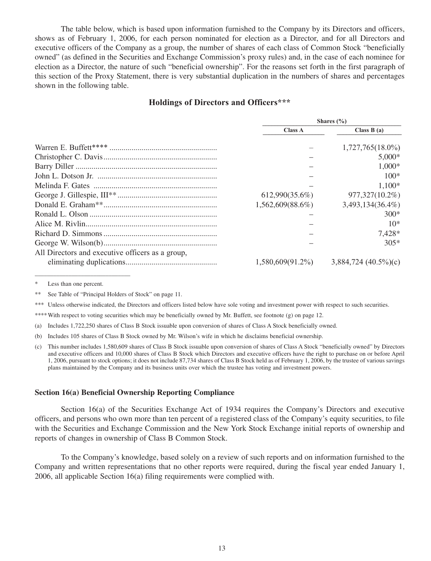The table below, which is based upon information furnished to the Company by its Directors and officers, shows as of February 1, 2006, for each person nominated for election as a Director, and for all Directors and executive officers of the Company as a group, the number of shares of each class of Common Stock "beneficially owned" (as defined in the Securities and Exchange Commission's proxy rules) and, in the case of each nominee for election as a Director, the nature of such "beneficial ownership". For the reasons set forth in the first paragraph of this section of the Proxy Statement, there is very substantial duplication in the numbers of shares and percentages shown in the following table.

## **Holdings of Directors and Officers\*\*\***

|                                                  | Shares $(\% )$      |                        |  |
|--------------------------------------------------|---------------------|------------------------|--|
|                                                  | <b>Class A</b>      | Class $B(a)$           |  |
|                                                  |                     | $1,727,765(18.0\%)$    |  |
|                                                  |                     | $5,000*$               |  |
|                                                  |                     | $1,000*$               |  |
|                                                  |                     | $100*$                 |  |
|                                                  |                     | $1,100*$               |  |
|                                                  | 612,990(35.6%)      | 977,327(10.2%)         |  |
|                                                  | $1,562,609(88.6\%)$ | 3,493,134(36.4%)       |  |
|                                                  |                     | $300*$                 |  |
|                                                  |                     | $10*$                  |  |
|                                                  |                     | 7,428*                 |  |
|                                                  |                     | $305*$                 |  |
| All Directors and executive officers as a group, |                     |                        |  |
|                                                  | $1,580,609(91.2\%)$ | $3,884,724$ (40.5%)(c) |  |

Less than one percent.

\*\* See Table of "Principal Holders of Stock" on page 11.

\*\*\* Unless otherwise indicated, the Directors and officers listed below have sole voting and investment power with respect to such securities.

\*\*\*\*With respect to voting securities which may be beneficially owned by Mr. Buffett, see footnote (g) on page 12.

(a) Includes 1,722,250 shares of Class B Stock issuable upon conversion of shares of Class A Stock beneficially owned.

(b) Includes 105 shares of Class B Stock owned by Mr. Wilson's wife in which he disclaims beneficial ownership.

(c) This number includes 1,580,609 shares of Class B Stock issuable upon conversion of shares of Class A Stock "beneficially owned" by Directors and executive officers and 10,000 shares of Class B Stock which Directors and executive officers have the right to purchase on or before April 1, 2006, pursuant to stock options; it does not include 87,734 shares of Class B Stock held as of February 1, 2006, by the trustee of various savings plans maintained by the Company and its business units over which the trustee has voting and investment powers.

#### **Section 16(a) Beneficial Ownership Reporting Compliance**

Section 16(a) of the Securities Exchange Act of 1934 requires the Company's Directors and executive officers, and persons who own more than ten percent of a registered class of the Company's equity securities, to file with the Securities and Exchange Commission and the New York Stock Exchange initial reports of ownership and reports of changes in ownership of Class B Common Stock.

To the Company's knowledge, based solely on a review of such reports and on information furnished to the Company and written representations that no other reports were required, during the fiscal year ended January 1, 2006, all applicable Section 16(a) filing requirements were complied with.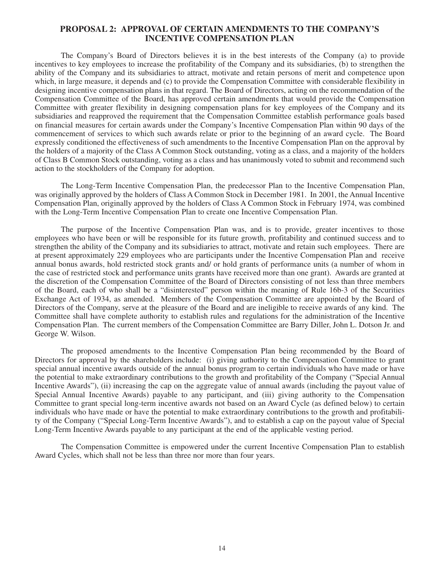## **PROPOSAL 2: APPROVAL OF CERTAIN AMENDMENTS TO THE COMPANY'S INCENTIVE COMPENSATION PLAN**

The Company's Board of Directors believes it is in the best interests of the Company (a) to provide incentives to key employees to increase the profitability of the Company and its subsidiaries, (b) to strengthen the ability of the Company and its subsidiaries to attract, motivate and retain persons of merit and competence upon which, in large measure, it depends and (c) to provide the Compensation Committee with considerable flexibility in designing incentive compensation plans in that regard. The Board of Directors, acting on the recommendation of the Compensation Committee of the Board, has approved certain amendments that would provide the Compensation Committee with greater flexibility in designing compensation plans for key employees of the Company and its subsidiaries and reapproved the requirement that the Compensation Committee establish performance goals based on financial measures for certain awards under the Company's Incentive Compensation Plan within 90 days of the commencement of services to which such awards relate or prior to the beginning of an award cycle. The Board expressly conditioned the effectiveness of such amendments to the Incentive Compensation Plan on the approval by the holders of a majority of the Class A Common Stock outstanding, voting as a class, and a majority of the holders of Class B Common Stock outstanding, voting as a class and has unanimously voted to submit and recommend such action to the stockholders of the Company for adoption.

The Long-Term Incentive Compensation Plan, the predecessor Plan to the Incentive Compensation Plan, was originally approved by the holders of Class A Common Stock in December 1981. In 2001, the Annual Incentive Compensation Plan, originally approved by the holders of Class A Common Stock in February 1974, was combined with the Long-Term Incentive Compensation Plan to create one Incentive Compensation Plan.

The purpose of the Incentive Compensation Plan was, and is to provide, greater incentives to those employees who have been or will be responsible for its future growth, profitability and continued success and to strengthen the ability of the Company and its subsidiaries to attract, motivate and retain such employees. There are at present approximately 229 employees who are participants under the Incentive Compensation Plan and receive annual bonus awards, hold restricted stock grants and/ or hold grants of performance units (a number of whom in the case of restricted stock and performance units grants have received more than one grant). Awards are granted at the discretion of the Compensation Committee of the Board of Directors consisting of not less than three members of the Board, each of who shall be a "disinterested" person within the meaning of Rule 16b-3 of the Securities Exchange Act of 1934, as amended. Members of the Compensation Committee are appointed by the Board of Directors of the Company, serve at the pleasure of the Board and are ineligible to receive awards of any kind. The Committee shall have complete authority to establish rules and regulations for the administration of the Incentive Compensation Plan. The current members of the Compensation Committee are Barry Diller, John L. Dotson Jr. and George W. Wilson.

The proposed amendments to the Incentive Compensation Plan being recommended by the Board of Directors for approval by the shareholders include: (i) giving authority to the Compensation Committee to grant special annual incentive awards outside of the annual bonus program to certain individuals who have made or have the potential to make extraordinary contributions to the growth and profitability of the Company ("Special Annual Incentive Awards"), (ii) increasing the cap on the aggregate value of annual awards (including the payout value of Special Annual Incentive Awards) payable to any participant, and (iii) giving authority to the Compensation Committee to grant special long-term incentive awards not based on an Award Cycle (as defined below) to certain individuals who have made or have the potential to make extraordinary contributions to the growth and profitability of the Company ("Special Long-Term Incentive Awards"), and to establish a cap on the payout value of Special Long-Term Incentive Awards payable to any participant at the end of the applicable vesting period.

The Compensation Committee is empowered under the current Incentive Compensation Plan to establish Award Cycles, which shall not be less than three nor more than four years.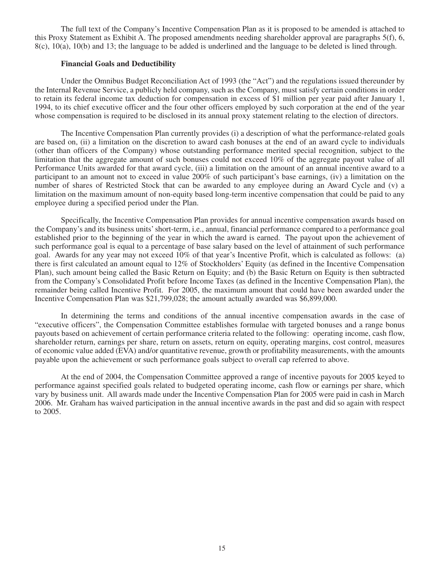The full text of the Company's Incentive Compensation Plan as it is proposed to be amended is attached to this Proxy Statement as Exhibit A. The proposed amendments needing shareholder approval are paragraphs 5(f), 6, 8(c), 10(a), 10(b) and 13; the language to be added is underlined and the language to be deleted is lined through.

### **Financial Goals and Deductibility**

Under the Omnibus Budget Reconciliation Act of 1993 (the "Act") and the regulations issued thereunder by the Internal Revenue Service, a publicly held company, such as the Company, must satisfy certain conditions in order to retain its federal income tax deduction for compensation in excess of \$1 million per year paid after January 1, 1994, to its chief executive officer and the four other officers employed by such corporation at the end of the year whose compensation is required to be disclosed in its annual proxy statement relating to the election of directors.

The Incentive Compensation Plan currently provides (i) a description of what the performance-related goals are based on, (ii) a limitation on the discretion to award cash bonuses at the end of an award cycle to individuals (other than officers of the Company) whose outstanding performance merited special recognition, subject to the limitation that the aggregate amount of such bonuses could not exceed 10% of the aggregate payout value of all Performance Units awarded for that award cycle, (iii) a limitation on the amount of an annual incentive award to a participant to an amount not to exceed in value 200% of such participant's base earnings, (iv) a limitation on the number of shares of Restricted Stock that can be awarded to any employee during an Award Cycle and (v) a limitation on the maximum amount of non-equity based long-term incentive compensation that could be paid to any employee during a specified period under the Plan.

Specifically, the Incentive Compensation Plan provides for annual incentive compensation awards based on the Company's and its business units' short-term, i.e., annual, financial performance compared to a performance goal established prior to the beginning of the year in which the award is earned. The payout upon the achievement of such performance goal is equal to a percentage of base salary based on the level of attainment of such performance goal. Awards for any year may not exceed 10% of that year's Incentive Profit, which is calculated as follows: (a) there is first calculated an amount equal to 12% of Stockholders' Equity (as defined in the Incentive Compensation Plan), such amount being called the Basic Return on Equity; and (b) the Basic Return on Equity is then subtracted from the Company's Consolidated Profit before Income Taxes (as defined in the Incentive Compensation Plan), the remainder being called Incentive Profit. For 2005, the maximum amount that could have been awarded under the Incentive Compensation Plan was \$21,799,028; the amount actually awarded was \$6,899,000.

In determining the terms and conditions of the annual incentive compensation awards in the case of "executive officers", the Compensation Committee establishes formulae with targeted bonuses and a range bonus payouts based on achievement of certain performance criteria related to the following: operating income, cash flow, shareholder return, earnings per share, return on assets, return on equity, operating margins, cost control, measures of economic value added (EVA) and/or quantitative revenue, growth or profitability measurements, with the amounts payable upon the achievement or such performance goals subject to overall cap referred to above.

At the end of 2004, the Compensation Committee approved a range of incentive payouts for 2005 keyed to performance against specified goals related to budgeted operating income, cash flow or earnings per share, which vary by business unit. All awards made under the Incentive Compensation Plan for 2005 were paid in cash in March 2006. Mr. Graham has waived participation in the annual incentive awards in the past and did so again with respect to 2005.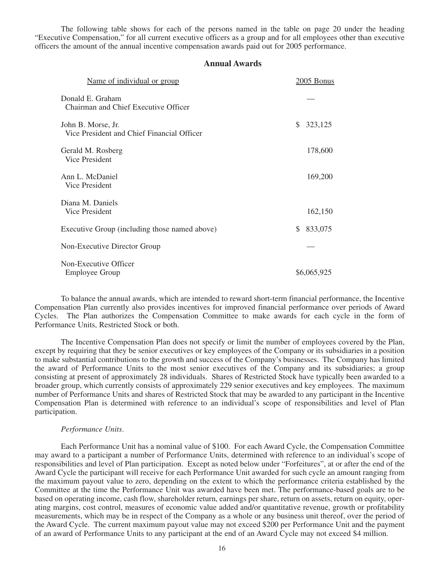The following table shows for each of the persons named in the table on page 20 under the heading "Executive Compensation," for all current executive officers as a group and for all employees other than executive officers the amount of the annual incentive compensation awards paid out for 2005 performance.

## **Annual Awards**

| Name of individual or group                                      | 2005 Bonus     |
|------------------------------------------------------------------|----------------|
| Donald E. Graham<br>Chairman and Chief Executive Officer         |                |
| John B. Morse, Jr.<br>Vice President and Chief Financial Officer | 323,125<br>\$  |
| Gerald M. Rosberg<br>Vice President                              | 178,600        |
| Ann L. McDaniel<br>Vice President                                | 169,200        |
| Diana M. Daniels<br>Vice President                               | 162,150        |
| Executive Group (including those named above)                    | 833,075<br>\$. |
| Non-Executive Director Group                                     |                |
| Non-Executive Officer<br><b>Employee Group</b>                   | \$6,065,925    |

To balance the annual awards, which are intended to reward short-term financial performance, the Incentive Compensation Plan currently also provides incentives for improved financial performance over periods of Award Cycles. The Plan authorizes the Compensation Committee to make awards for each cycle in the form of Performance Units, Restricted Stock or both.

The Incentive Compensation Plan does not specify or limit the number of employees covered by the Plan, except by requiring that they be senior executives or key employees of the Company or its subsidiaries in a position to make substantial contributions to the growth and success of the Company's businesses. The Company has limited the award of Performance Units to the most senior executives of the Company and its subsidiaries; a group consisting at present of approximately 28 individuals. Shares of Restricted Stock have typically been awarded to a broader group, which currently consists of approximately 229 senior executives and key employees. The maximum number of Performance Units and shares of Restricted Stock that may be awarded to any participant in the Incentive Compensation Plan is determined with reference to an individual's scope of responsibilities and level of Plan participation.

#### *Performance Units*.

Each Performance Unit has a nominal value of \$100. For each Award Cycle, the Compensation Committee may award to a participant a number of Performance Units, determined with reference to an individual's scope of responsibilities and level of Plan participation. Except as noted below under "Forfeitures", at or after the end of the Award Cycle the participant will receive for each Performance Unit awarded for such cycle an amount ranging from the maximum payout value to zero, depending on the extent to which the performance criteria established by the Committee at the time the Performance Unit was awarded have been met. The performance-based goals are to be based on operating income, cash flow, shareholder return, earnings per share, return on assets, return on equity, operating margins, cost control, measures of economic value added and/or quantitative revenue, growth or profitability measurements, which may be in respect of the Company as a whole or any business unit thereof, over the period of the Award Cycle. The current maximum payout value may not exceed \$200 per Performance Unit and the payment of an award of Performance Units to any participant at the end of an Award Cycle may not exceed \$4 million.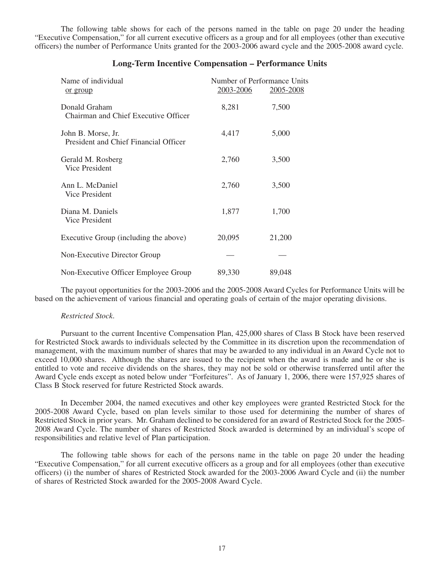The following table shows for each of the persons named in the table on page 20 under the heading "Executive Compensation," for all current executive officers as a group and for all employees (other than executive officers) the number of Performance Units granted for the 2003-2006 award cycle and the 2005-2008 award cycle.

| Name of individual<br><u>or group</u>                       | 2003-2006 | Number of Performance Units<br>2005-2008 |  |
|-------------------------------------------------------------|-----------|------------------------------------------|--|
| Donald Graham<br>Chairman and Chief Executive Officer       | 8,281     | 7,500                                    |  |
| John B. Morse, Jr.<br>President and Chief Financial Officer | 4,417     | 5,000                                    |  |
| Gerald M. Rosberg<br>Vice President                         | 2,760     | 3,500                                    |  |
| Ann L. McDaniel<br>Vice President                           | 2,760     | 3,500                                    |  |
| Diana M. Daniels<br>Vice President                          | 1,877     | 1,700                                    |  |
| Executive Group (including the above)                       | 20,095    | 21,200                                   |  |
| Non-Executive Director Group                                |           |                                          |  |
| Non-Executive Officer Employee Group                        | 89,330    | 89,048                                   |  |

## **Long-Term Incentive Compensation – Performance Units**

The payout opportunities for the 2003-2006 and the 2005-2008 Award Cycles for Performance Units will be based on the achievement of various financial and operating goals of certain of the major operating divisions.

#### *Restricted Stock*.

Pursuant to the current Incentive Compensation Plan, 425,000 shares of Class B Stock have been reserved for Restricted Stock awards to individuals selected by the Committee in its discretion upon the recommendation of management, with the maximum number of shares that may be awarded to any individual in an Award Cycle not to exceed 10,000 shares. Although the shares are issued to the recipient when the award is made and he or she is entitled to vote and receive dividends on the shares, they may not be sold or otherwise transferred until after the Award Cycle ends except as noted below under "Forfeitures". As of January 1, 2006, there were 157,925 shares of Class B Stock reserved for future Restricted Stock awards.

In December 2004, the named executives and other key employees were granted Restricted Stock for the 2005-2008 Award Cycle, based on plan levels similar to those used for determining the number of shares of Restricted Stock in prior years. Mr. Graham declined to be considered for an award of Restricted Stock for the 2005- 2008 Award Cycle. The number of shares of Restricted Stock awarded is determined by an individual's scope of responsibilities and relative level of Plan participation.

The following table shows for each of the persons name in the table on page 20 under the heading "Executive Compensation," for all current executive officers as a group and for all employees (other than executive officers) (i) the number of shares of Restricted Stock awarded for the 2003-2006 Award Cycle and (ii) the number of shares of Restricted Stock awarded for the 2005-2008 Award Cycle.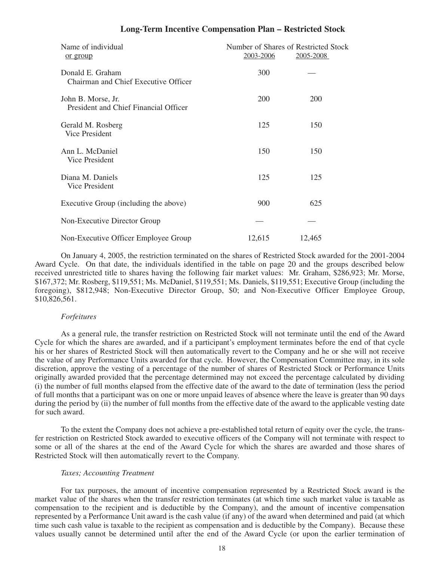| <b>Long-Term Incentive Compensation Plan - Restricted Stock</b> |  |  |  |  |  |  |  |
|-----------------------------------------------------------------|--|--|--|--|--|--|--|
|-----------------------------------------------------------------|--|--|--|--|--|--|--|

| Name of individual<br>or group                              | 2003-2006  | Number of Shares of Restricted Stock<br>2005-2008 |
|-------------------------------------------------------------|------------|---------------------------------------------------|
| Donald E. Graham<br>Chairman and Chief Executive Officer    | 300        |                                                   |
| John B. Morse, Jr.<br>President and Chief Financial Officer | <b>200</b> | 200                                               |
| Gerald M. Rosberg<br>Vice President                         | 125        | 150                                               |
| Ann L. McDaniel<br>Vice President                           | 150        | 150                                               |
| Diana M. Daniels<br>Vice President                          | 125        | 125                                               |
| Executive Group (including the above)                       | 900        | 625                                               |
| Non-Executive Director Group                                |            |                                                   |
| Non-Executive Officer Employee Group                        | 12,615     | 12,465                                            |

On January 4, 2005, the restriction terminated on the shares of Restricted Stock awarded for the 2001-2004 Award Cycle. On that date, the individuals identified in the table on page 20 and the groups described below received unrestricted title to shares having the following fair market values: Mr. Graham, \$286,923; Mr. Morse, \$167,372; Mr. Rosberg, \$119,551; Ms. McDaniel, \$119,551; Ms. Daniels, \$119,551; Executive Group (including the foregoing), \$812,948; Non-Executive Director Group, \$0; and Non-Executive Officer Employee Group, \$10,826,561.

#### *Forfeitures*

As a general rule, the transfer restriction on Restricted Stock will not terminate until the end of the Award Cycle for which the shares are awarded, and if a participant's employment terminates before the end of that cycle his or her shares of Restricted Stock will then automatically revert to the Company and he or she will not receive the value of any Performance Units awarded for that cycle. However, the Compensation Committee may, in its sole discretion, approve the vesting of a percentage of the number of shares of Restricted Stock or Performance Units originally awarded provided that the percentage determined may not exceed the percentage calculated by dividing (i) the number of full months elapsed from the effective date of the award to the date of termination (less the period of full months that a participant was on one or more unpaid leaves of absence where the leave is greater than 90 days during the period by (ii) the number of full months from the effective date of the award to the applicable vesting date for such award.

To the extent the Company does not achieve a pre-established total return of equity over the cycle, the transfer restriction on Restricted Stock awarded to executive officers of the Company will not terminate with respect to some or all of the shares at the end of the Award Cycle for which the shares are awarded and those shares of Restricted Stock will then automatically revert to the Company.

#### *Taxes; Accounting Treatment*

For tax purposes, the amount of incentive compensation represented by a Restricted Stock award is the market value of the shares when the transfer restriction terminates (at which time such market value is taxable as compensation to the recipient and is deductible by the Company), and the amount of incentive compensation represented by a Performance Unit award is the cash value (if any) of the award when determined and paid (at which time such cash value is taxable to the recipient as compensation and is deductible by the Company). Because these values usually cannot be determined until after the end of the Award Cycle (or upon the earlier termination of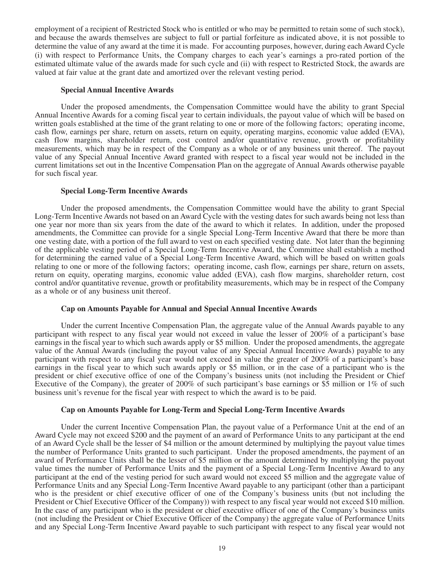employment of a recipient of Restricted Stock who is entitled or who may be permitted to retain some of such stock), and because the awards themselves are subject to full or partial forfeiture as indicated above, it is not possible to determine the value of any award at the time it is made. For accounting purposes, however, during each Award Cycle (i) with respect to Performance Units, the Company charges to each year's earnings a pro-rated portion of the estimated ultimate value of the awards made for such cycle and (ii) with respect to Restricted Stock, the awards are valued at fair value at the grant date and amortized over the relevant vesting period.

#### **Special Annual Incentive Awards**

Under the proposed amendments, the Compensation Committee would have the ability to grant Special Annual Incentive Awards for a coming fiscal year to certain individuals, the payout value of which will be based on written goals established at the time of the grant relating to one or more of the following factors; operating income, cash flow, earnings per share, return on assets, return on equity, operating margins, economic value added (EVA), cash flow margins, shareholder return, cost control and/or quantitative revenue, growth or profitability measurements, which may be in respect of the Company as a whole or of any business unit thereof. The payout value of any Special Annual Incentive Award granted with respect to a fiscal year would not be included in the current limitations set out in the Incentive Compensation Plan on the aggregate of Annual Awards otherwise payable for such fiscal year.

#### **Special Long-Term Incentive Awards**

Under the proposed amendments, the Compensation Committee would have the ability to grant Special Long-Term Incentive Awards not based on an Award Cycle with the vesting dates for such awards being not less than one year nor more than six years from the date of the award to which it relates. In addition, under the proposed amendments, the Committee can provide for a single Special Long-Term Incentive Award that there be more than one vesting date, with a portion of the full award to vest on each specified vesting date. Not later than the beginning of the applicable vesting period of a Special Long-Term Incentive Award, the Committee shall establish a method for determining the earned value of a Special Long-Term Incentive Award, which will be based on written goals relating to one or more of the following factors; operating income, cash flow, earnings per share, return on assets, return on equity, operating margins, economic value added (EVA), cash flow margins, shareholder return, cost control and/or quantitative revenue, growth or profitability measurements, which may be in respect of the Company as a whole or of any business unit thereof.

#### **Cap on Amounts Payable for Annual and Special Annual Incentive Awards**

Under the current Incentive Compensation Plan, the aggregate value of the Annual Awards payable to any participant with respect to any fiscal year would not exceed in value the lesser of 200% of a participant's base earnings in the fiscal year to which such awards apply or \$5 million. Under the proposed amendments, the aggregate value of the Annual Awards (including the payout value of any Special Annual Incentive Awards) payable to any participant with respect to any fiscal year would not exceed in value the greater of 200% of a participant's base earnings in the fiscal year to which such awards apply or \$5 million, or in the case of a participant who is the president or chief executive office of one of the Company's business units (not including the President or Chief Executive of the Company), the greater of 200% of such participant's base earnings or \$5 million or 1% of such business unit's revenue for the fiscal year with respect to which the award is to be paid.

#### **Cap on Amounts Payable for Long-Term and Special Long-Term Incentive Awards**

Under the current Incentive Compensation Plan, the payout value of a Performance Unit at the end of an Award Cycle may not exceed \$200 and the payment of an award of Performance Units to any participant at the end of an Award Cycle shall be the lesser of \$4 million or the amount determined by multiplying the payout value times the number of Performance Units granted to such participant. Under the proposed amendments, the payment of an award of Performance Units shall be the lesser of \$5 million or the amount determined by multiplying the payout value times the number of Performance Units and the payment of a Special Long-Term Incentive Award to any participant at the end of the vesting period for such award would not exceed \$5 million and the aggregate value of Performance Units and any Special Long-Term Incentive Award payable to any participant (other than a participant who is the president or chief executive officer of one of the Company's business units (but not including the President or Chief Executive Officer of the Company)) with respect to any fiscal year would not exceed \$10 million. In the case of any participant who is the president or chief executive officer of one of the Company's business units (not including the President or Chief Executive Officer of the Company) the aggregate value of Performance Units and any Special Long-Term Incentive Award payable to such participant with respect to any fiscal year would not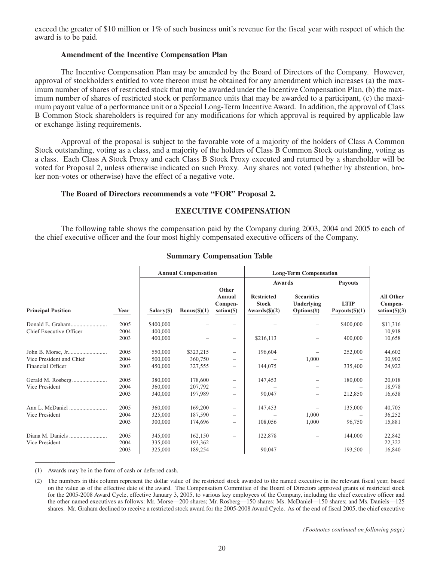exceed the greater of \$10 million or 1% of such business unit's revenue for the fiscal year with respect of which the award is to be paid.

### **Amendment of the Incentive Compensation Plan**

The Incentive Compensation Plan may be amended by the Board of Directors of the Company. However, approval of stockholders entitled to vote thereon must be obtained for any amendment which increases (a) the maximum number of shares of restricted stock that may be awarded under the Incentive Compensation Plan, (b) the maximum number of shares of restricted stock or performance units that may be awarded to a participant, (c) the maximum payout value of a performance unit or a Special Long-Term Incentive Award. In addition, the approval of Class B Common Stock shareholders is required for any modifications for which approval is required by applicable law or exchange listing requirements.

Approval of the proposal is subject to the favorable vote of a majority of the holders of Class A Common Stock outstanding, voting as a class, and a majority of the holders of Class B Common Stock outstanding, voting as a class. Each Class A Stock Proxy and each Class B Stock Proxy executed and returned by a shareholder will be voted for Proposal 2, unless otherwise indicated on such Proxy. Any shares not voted (whether by abstention, broker non-votes or otherwise) have the effect of a negative vote.

## **The Board of Directors recommends a vote "FOR" Proposal 2.**

## **EXECUTIVE COMPENSATION**

The following table shows the compensation paid by the Company during 2003, 2004 and 2005 to each of the chief executive officer and the four most highly compensated executive officers of the Company.

|                           |      | <b>Annual Compensation</b> |              |                                          | <b>Long-Term Compensation</b>                                |                                               |                                         |                                                      |
|---------------------------|------|----------------------------|--------------|------------------------------------------|--------------------------------------------------------------|-----------------------------------------------|-----------------------------------------|------------------------------------------------------|
|                           |      |                            |              |                                          | Awards                                                       |                                               | Payouts                                 |                                                      |
| <b>Principal Position</b> | Year | Salary(S)                  | Bonus(\$)(1) | Other<br>Annual<br>Compen-<br>sation(\$) | <b>Restricted</b><br><b>Stock</b><br>Awards $(\text{\$})(2)$ | <b>Securities</b><br>Underlying<br>Options(f) | <b>LTIP</b><br>Payouts $(\text{\$})(1)$ | <b>All Other</b><br>Compen-<br>$sation(\text{S})(3)$ |
| Donald E. Graham          | 2005 | \$400,000                  |              |                                          |                                                              |                                               | \$400,000                               | \$11,316                                             |
| Chief Executive Officer   | 2004 | 400,000                    |              |                                          |                                                              |                                               |                                         | 10,918                                               |
|                           | 2003 | 400,000                    |              | -                                        | \$216,113                                                    |                                               | 400,000                                 | 10,658                                               |
|                           | 2005 | 550,000                    | \$323,215    |                                          | 196,604                                                      |                                               | 252,000                                 | 44,602                                               |
| Vice President and Chief  | 2004 | 500,000                    | 360,750      |                                          |                                                              | 1,000                                         |                                         | 30,902                                               |
| Financial Officer         | 2003 | 450,000                    | 327,555      | -                                        | 144,075                                                      |                                               | 335,400                                 | 24,922                                               |
|                           | 2005 | 380,000                    | 178,600      | -                                        | 147,453                                                      | -                                             | 180,000                                 | 20,018                                               |
| Vice President            | 2004 | 360,000                    | 207,792      | -                                        |                                                              |                                               |                                         | 18,978                                               |
|                           | 2003 | 340,000                    | 197,989      | -                                        | 90,047                                                       |                                               | 212,850                                 | 16,638                                               |
|                           | 2005 | 360,000                    | 169,200      | -                                        | 147,453                                                      |                                               | 135,000                                 | 40,705                                               |
| Vice President            | 2004 | 325,000                    | 187,590      |                                          |                                                              | 1,000                                         |                                         | 36,252                                               |
|                           | 2003 | 300,000                    | 174,696      | -                                        | 108,056                                                      | 1,000                                         | 96,750                                  | 15,881                                               |
|                           | 2005 | 345,000                    | 162,150      | -                                        | 122,878                                                      | $\qquad \qquad -$                             | 144,000                                 | 22,842                                               |
| Vice President            | 2004 | 335,000                    | 193,362      | -                                        |                                                              |                                               |                                         | 22,322                                               |
|                           | 2003 | 325,000                    | 189,254      | -                                        | 90,047                                                       | $\qquad \qquad -$                             | 193,500                                 | 16,840                                               |

## **Summary Compensation Table**

(1) Awards may be in the form of cash or deferred cash.

\_\_\_\_\_\_\_\_\_\_\_\_\_\_\_\_\_\_\_\_\_\_\_\_\_\_

<sup>(2)</sup> The numbers in this column represent the dollar value of the restricted stock awarded to the named executive in the relevant fiscal year, based on the value as of the effective date of the award. The Compensation Committee of the Board of Directors approved grants of restricted stock for the 2005-2008 Award Cycle, effective January 3, 2005, to various key employees of the Company, including the chief executive officer and the other named executives as follows: Mr. Morse—200 shares; Mr. Rosberg—150 shares; Ms. McDaniel—150 shares; and Ms. Daniels—125 shares. Mr. Graham declined to receive a restricted stock award for the 2005-2008 Award Cycle. As of the end of fiscal 2005, the chief executive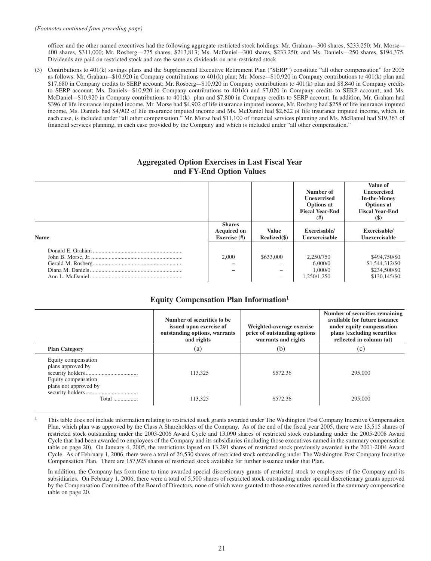\_\_\_\_\_\_\_\_\_\_\_\_\_\_\_\_\_\_\_\_\_\_

officer and the other named executives had the following aggregate restricted stock holdings: Mr. Graham–-300 shares, \$233,250; Mr. Morse–- 400 shares, \$311,000; Mr. Rosberg—275 shares, \$213,813; Ms. McDaniel–-300 shares, \$233,250; and Ms. Daniels—250 shares, \$194,375. Dividends are paid on restricted stock and are the same as dividends on non-restricted stock.

(3) Contributions to 401(k) savings plans and the Supplemental Executive Retirement Plan ("SERP") constitute "all other compensation" for 2005 as follows: Mr. Graham-–\$10,920 in Company contributions to 401(k) plan; Mr. Morse-–\$10,920 in Company contributions to 401(k) plan and \$17,680 in Company credits to SERP account; Mr. Rosberg-–\$10,920 in Company contributions to 401(k) plan and \$8,840 in Company credits to SERP account; Ms. Daniels-–\$10,920 in Company contributions to 401(k) and \$7,020 in Company credits to SERP account; and Ms. McDaniel–-\$10,920 in Company contributions to 401(k) plan and \$7,800 in Company credits to SERP account. In addition, Mr. Graham had \$396 of life insurance imputed income, Mr. Morse had \$4,902 of life insurance imputed income, Mr. Rosberg had \$258 of life insurance imputed income, Ms. Daniels had \$4,902 of life insurance imputed income and Ms. McDaniel had \$2,622 of life insurance imputed income, which, in each case, is included under "all other compensation." Mr. Morse had \$11,100 of financial services planning and Ms. McDaniel had \$19,363 of financial services planning, in each case provided by the Company and which is included under "all other compensation."

### **Aggregated Option Exercises in Last Fiscal Year and FY-End Option Values**

|             |                                                     |                                       | Number of<br><b>Unexercised</b><br><b>Options at</b><br><b>Fiscal Year-End</b><br>(# ) | Value of<br><b>Unexercised</b><br><b>In-the-Money</b><br><b>Options</b> at<br><b>Fiscal Year-End</b><br>$\left( \mathbb{S}\right)$ |
|-------------|-----------------------------------------------------|---------------------------------------|----------------------------------------------------------------------------------------|------------------------------------------------------------------------------------------------------------------------------------|
| <b>Name</b> | <b>Shares</b><br><b>Acquired on</b><br>Exercise (#) | <b>Value</b><br>Realized(\$)          | Exercisable/<br>Unexercisable                                                          | Exercisable/<br>Unexercisable                                                                                                      |
|             | 2,000                                               | \$633,000<br>$\overline{\phantom{a}}$ | 2,250/750<br>6,000/0<br>1,000/0<br>1,250/1,250                                         | \$494,750/\$0<br>\$1,544,312/\$0<br>\$234,500/\$0<br>\$130,145/\$0                                                                 |

## **Equity Compensation Plan Information1**

|                                                                                          | Number of securities to be.<br>issued upon exercise of<br>outstanding options, warrants<br>and rights | Weighted-average exercise<br>price of outstanding options<br>warrants and rights | Number of securities remaining<br>available for future issuance<br>under equity compensation<br>plans (excluding securities<br>reflected in column $(a)$ ) |
|------------------------------------------------------------------------------------------|-------------------------------------------------------------------------------------------------------|----------------------------------------------------------------------------------|------------------------------------------------------------------------------------------------------------------------------------------------------------|
| <b>Plan Category</b>                                                                     | (a)                                                                                                   | (b)                                                                              | (C)                                                                                                                                                        |
| Equity compensation<br>plans approved by<br>Equity compensation<br>plans not approved by | 113,325                                                                                               | \$572.36                                                                         | 295,000                                                                                                                                                    |
| Total                                                                                    | 113.325                                                                                               | \$572.36                                                                         | 295,000                                                                                                                                                    |

<sup>1</sup> This table does not include information relating to restricted stock grants awarded under The Washington Post Company Incentive Compensation Plan, which plan was approved by the Class A Shareholders of the Company. As of the end of the fiscal year 2005, there were 13,515 shares of restricted stock outstanding under the 2003-2006 Award Cycle and 13,090 shares of restricted stock outstanding under the 2005-2008 Award Cycle that had been awarded to employees of the Company and its subsidiaries (including those executives named in the summary compensation table on page 20). On January 4, 2005, the restrictions lapsed on 13,291 shares of restricted stock previously awarded in the 2001-2004 Award Cycle. As of February 1, 2006, there were a total of 26,530 shares of restricted stock outstanding under The Washington Post Company Incentive Compensation Plan. There are 157,925 shares of restricted stock available for further issuance under that Plan.

In addition, the Company has from time to time awarded special discretionary grants of restricted stock to employees of the Company and its subsidiaries. On February 1, 2006, there were a total of 5,500 shares of restricted stock outstanding under special discretionary grants approved by the Compensation Committee of the Board of Directors, none of which were granted to those executives named in the summary compensation table on page 20.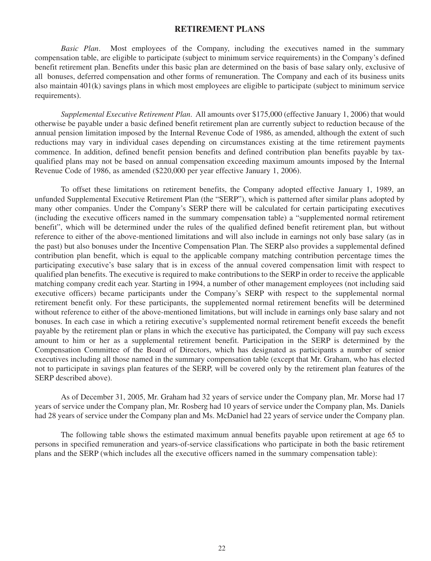## **RETIREMENT PLANS**

*Basic Plan*. Most employees of the Company, including the executives named in the summary compensation table, are eligible to participate (subject to minimum service requirements) in the Company's defined benefit retirement plan. Benefits under this basic plan are determined on the basis of base salary only, exclusive of all bonuses, deferred compensation and other forms of remuneration. The Company and each of its business units also maintain 401(k) savings plans in which most employees are eligible to participate (subject to minimum service requirements).

*Supplemental Executive Retirement Plan*. All amounts over \$175,000 (effective January 1, 2006) that would otherwise be payable under a basic defined benefit retirement plan are currently subject to reduction because of the annual pension limitation imposed by the Internal Revenue Code of 1986, as amended, although the extent of such reductions may vary in individual cases depending on circumstances existing at the time retirement payments commence. In addition, defined benefit pension benefits and defined contribution plan benefits payable by taxqualified plans may not be based on annual compensation exceeding maximum amounts imposed by the Internal Revenue Code of 1986, as amended (\$220,000 per year effective January 1, 2006).

To offset these limitations on retirement benefits, the Company adopted effective January 1, 1989, an unfunded Supplemental Executive Retirement Plan (the "SERP"), which is patterned after similar plans adopted by many other companies. Under the Company's SERP there will be calculated for certain participating executives (including the executive officers named in the summary compensation table) a "supplemented normal retirement benefit", which will be determined under the rules of the qualified defined benefit retirement plan, but without reference to either of the above-mentioned limitations and will also include in earnings not only base salary (as in the past) but also bonuses under the Incentive Compensation Plan. The SERP also provides a supplemental defined contribution plan benefit, which is equal to the applicable company matching contribution percentage times the participating executive's base salary that is in excess of the annual covered compensation limit with respect to qualified plan benefits. The executive is required to make contributions to the SERP in order to receive the applicable matching company credit each year. Starting in 1994, a number of other management employees (not including said executive officers) became participants under the Company's SERP with respect to the supplemental normal retirement benefit only. For these participants, the supplemented normal retirement benefits will be determined without reference to either of the above-mentioned limitations, but will include in earnings only base salary and not bonuses. In each case in which a retiring executive's supplemented normal retirement benefit exceeds the benefit payable by the retirement plan or plans in which the executive has participated, the Company will pay such excess amount to him or her as a supplemental retirement benefit. Participation in the SERP is determined by the Compensation Committee of the Board of Directors, which has designated as participants a number of senior executives including all those named in the summary compensation table (except that Mr. Graham, who has elected not to participate in savings plan features of the SERP, will be covered only by the retirement plan features of the SERP described above).

As of December 31, 2005, Mr. Graham had 32 years of service under the Company plan, Mr. Morse had 17 years of service under the Company plan, Mr. Rosberg had 10 years of service under the Company plan, Ms. Daniels had 28 years of service under the Company plan and Ms. McDaniel had 22 years of service under the Company plan.

The following table shows the estimated maximum annual benefits payable upon retirement at age 65 to persons in specified remuneration and years-of-service classifications who participate in both the basic retirement plans and the SERP (which includes all the executive officers named in the summary compensation table):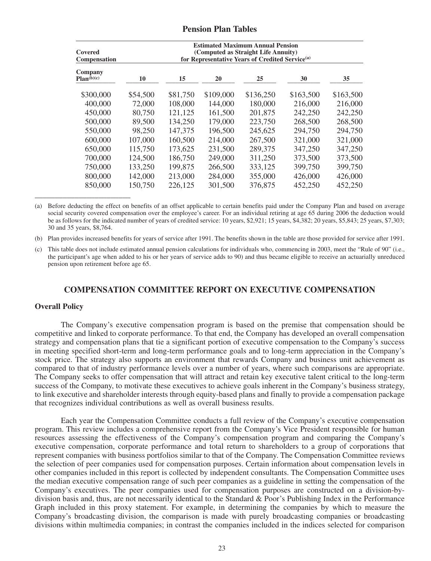## **Pension Plan Tables**

| Covered<br><b>Compensation</b> |          | <b>Estimated Maximum Annual Pension</b><br>(Computed as Straight Life Annuity)<br>for Representative Years of Credited Service <sup>(a)</sup> |           |           |           |           |  |  |  |
|--------------------------------|----------|-----------------------------------------------------------------------------------------------------------------------------------------------|-----------|-----------|-----------|-----------|--|--|--|
| Company<br>Plan(b)(c)          | 10       | 15                                                                                                                                            | 20        | 25        | 30        | 35        |  |  |  |
| \$300,000                      | \$54,500 | \$81,750                                                                                                                                      | \$109,000 | \$136,250 | \$163,500 | \$163,500 |  |  |  |
| 400,000                        | 72,000   | 108,000                                                                                                                                       | 144,000   | 180,000   | 216,000   | 216,000   |  |  |  |
| 450,000                        | 80,750   | 121,125                                                                                                                                       | 161,500   | 201,875   | 242,250   | 242,250   |  |  |  |
| 500,000                        | 89,500   | 134,250                                                                                                                                       | 179,000   | 223,750   | 268,500   | 268,500   |  |  |  |
| 550,000                        | 98,250   | 147,375                                                                                                                                       | 196,500   | 245,625   | 294,750   | 294,750   |  |  |  |
| 600,000                        | 107,000  | 160,500                                                                                                                                       | 214,000   | 267,500   | 321,000   | 321,000   |  |  |  |
| 650,000                        | 115,750  | 173,625                                                                                                                                       | 231,500   | 289,375   | 347,250   | 347,250   |  |  |  |
| 700,000                        | 124,500  | 186,750                                                                                                                                       | 249,000   | 311,250   | 373,500   | 373,500   |  |  |  |
| 750,000                        | 133,250  | 199,875                                                                                                                                       | 266,500   | 333,125   | 399,750   | 399,750   |  |  |  |
| 800,000                        | 142,000  | 213,000                                                                                                                                       | 284,000   | 355,000   | 426,000   | 426,000   |  |  |  |
| 850,000                        | 150,750  | 226,125                                                                                                                                       | 301,500   | 376,875   | 452,250   | 452,250   |  |  |  |

(a) Before deducting the effect on benefits of an offset applicable to certain benefits paid under the Company Plan and based on average social security covered compensation over the employee's career. For an individual retiring at age 65 during 2006 the deduction would be as follows for the indicated number of years of credited service: 10 years, \$2,921; 15 years, \$4,382; 20 years, \$5,843; 25 years, \$7,303; 30 and 35 years, \$8,764.

(b) Plan provides increased benefits for years of service after 1991. The benefits shown in the table are those provided for service after 1991.

(c) This table does not include estimated annual pension calculations for individuals who, commencing in 2003, meet the "Rule of 90" (i.e., the participant's age when added to his or her years of service adds to 90) and thus became eligible to receive an actuarially unreduced pension upon retirement before age 65.

## **COMPENSATION COMMITTEE REPORT ON EXECUTIVE COMPENSATION**

#### **Overall Policy**

The Company's executive compensation program is based on the premise that compensation should be competitive and linked to corporate performance. To that end, the Company has developed an overall compensation strategy and compensation plans that tie a significant portion of executive compensation to the Company's success in meeting specified short-term and long-term performance goals and to long-term appreciation in the Company's stock price. The strategy also supports an environment that rewards Company and business unit achievement as compared to that of industry performance levels over a number of years, where such comparisons are appropriate. The Company seeks to offer compensation that will attract and retain key executive talent critical to the long-term success of the Company, to motivate these executives to achieve goals inherent in the Company's business strategy, to link executive and shareholder interests through equity-based plans and finally to provide a compensation package that recognizes individual contributions as well as overall business results.

Each year the Compensation Committee conducts a full review of the Company's executive compensation program. This review includes a comprehensive report from the Company's Vice President responsible for human resources assessing the effectiveness of the Company's compensation program and comparing the Company's executive compensation, corporate performance and total return to shareholders to a group of corporations that represent companies with business portfolios similar to that of the Company. The Compensation Committee reviews the selection of peer companies used for compensation purposes. Certain information about compensation levels in other companies included in this report is collected by independent consultants. The Compensation Committee uses the median executive compensation range of such peer companies as a guideline in setting the compensation of the Company's executives. The peer companies used for compensation purposes are constructed on a division-bydivision basis and, thus, are not necessarily identical to the Standard & Poor's Publishing Index in the Performance Graph included in this proxy statement. For example, in determining the companies by which to measure the Company's broadcasting division, the comparison is made with purely broadcasting companies or broadcasting divisions within multimedia companies; in contrast the companies included in the indices selected for comparison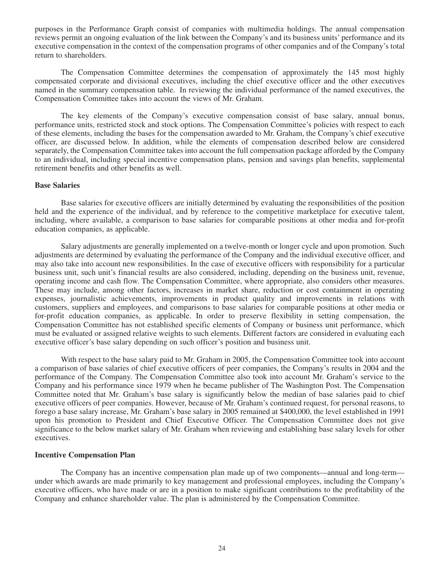purposes in the Performance Graph consist of companies with multimedia holdings. The annual compensation reviews permit an ongoing evaluation of the link between the Company's and its business units' performance and its executive compensation in the context of the compensation programs of other companies and of the Company's total return to shareholders.

The Compensation Committee determines the compensation of approximately the 145 most highly compensated corporate and divisional executives, including the chief executive officer and the other executives named in the summary compensation table. In reviewing the individual performance of the named executives, the Compensation Committee takes into account the views of Mr. Graham.

The key elements of the Company's executive compensation consist of base salary, annual bonus, performance units, restricted stock and stock options. The Compensation Committee's policies with respect to each of these elements, including the bases for the compensation awarded to Mr. Graham, the Company's chief executive officer, are discussed below. In addition, while the elements of compensation described below are considered separately, the Compensation Committee takes into account the full compensation package afforded by the Company to an individual, including special incentive compensation plans, pension and savings plan benefits, supplemental retirement benefits and other benefits as well.

#### **Base Salaries**

Base salaries for executive officers are initially determined by evaluating the responsibilities of the position held and the experience of the individual, and by reference to the competitive marketplace for executive talent, including, where available, a comparison to base salaries for comparable positions at other media and for-profit education companies, as applicable.

Salary adjustments are generally implemented on a twelve-month or longer cycle and upon promotion. Such adjustments are determined by evaluating the performance of the Company and the individual executive officer, and may also take into account new responsibilities. In the case of executive officers with responsibility for a particular business unit, such unit's financial results are also considered, including, depending on the business unit, revenue, operating income and cash flow. The Compensation Committee, where appropriate, also considers other measures. These may include, among other factors, increases in market share, reduction or cost containment in operating expenses, journalistic achievements, improvements in product quality and improvements in relations with customers, suppliers and employees, and comparisons to base salaries for comparable positions at other media or for-profit education companies, as applicable. In order to preserve flexibility in setting compensation, the Compensation Committee has not established specific elements of Company or business unit performance, which must be evaluated or assigned relative weights to such elements. Different factors are considered in evaluating each executive officer's base salary depending on such officer's position and business unit.

With respect to the base salary paid to Mr. Graham in 2005, the Compensation Committee took into account a comparison of base salaries of chief executive officers of peer companies, the Company's results in 2004 and the performance of the Company. The Compensation Committee also took into account Mr. Graham's service to the Company and his performance since 1979 when he became publisher of The Washington Post. The Compensation Committee noted that Mr. Graham's base salary is significantly below the median of base salaries paid to chief executive officers of peer companies. However, because of Mr. Graham's continued request, for personal reasons, to forego a base salary increase, Mr. Graham's base salary in 2005 remained at \$400,000, the level established in 1991 upon his promotion to President and Chief Executive Officer. The Compensation Committee does not give significance to the below market salary of Mr. Graham when reviewing and establishing base salary levels for other executives.

### **Incentive Compensation Plan**

The Company has an incentive compensation plan made up of two components—annual and long-term under which awards are made primarily to key management and professional employees, including the Company's executive officers, who have made or are in a position to make significant contributions to the profitability of the Company and enhance shareholder value. The plan is administered by the Compensation Committee.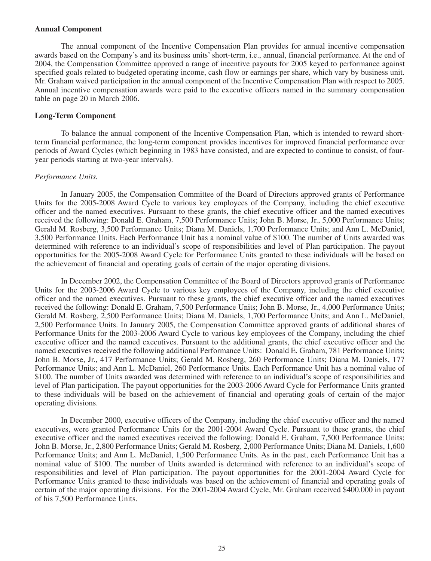#### **Annual Component**

The annual component of the Incentive Compensation Plan provides for annual incentive compensation awards based on the Company's and its business units' short-term, i.e., annual, financial performance. At the end of 2004, the Compensation Committee approved a range of incentive payouts for 2005 keyed to performance against specified goals related to budgeted operating income, cash flow or earnings per share, which vary by business unit. Mr. Graham waived participation in the annual component of the Incentive Compensation Plan with respect to 2005. Annual incentive compensation awards were paid to the executive officers named in the summary compensation table on page 20 in March 2006.

#### **Long-Term Component**

To balance the annual component of the Incentive Compensation Plan, which is intended to reward shortterm financial performance, the long-term component provides incentives for improved financial performance over periods of Award Cycles (which beginning in 1983 have consisted, and are expected to continue to consist, of fouryear periods starting at two-year intervals).

#### *Performance Units.*

In January 2005, the Compensation Committee of the Board of Directors approved grants of Performance Units for the 2005-2008 Award Cycle to various key employees of the Company, including the chief executive officer and the named executives. Pursuant to these grants, the chief executive officer and the named executives received the following: Donald E. Graham, 7,500 Performance Units; John B. Morse, Jr., 5,000 Performance Units; Gerald M. Rosberg, 3,500 Performance Units; Diana M. Daniels, 1,700 Performance Units; and Ann L. McDaniel, 3,500 Performance Units. Each Performance Unit has a nominal value of \$100. The number of Units awarded was determined with reference to an individual's scope of responsibilities and level of Plan participation. The payout opportunities for the 2005-2008 Award Cycle for Performance Units granted to these individuals will be based on the achievement of financial and operating goals of certain of the major operating divisions.

In December 2002, the Compensation Committee of the Board of Directors approved grants of Performance Units for the 2003-2006 Award Cycle to various key employees of the Company, including the chief executive officer and the named executives. Pursuant to these grants, the chief executive officer and the named executives received the following: Donald E. Graham, 7,500 Performance Units; John B. Morse, Jr., 4,000 Performance Units; Gerald M. Rosberg, 2,500 Performance Units; Diana M. Daniels, 1,700 Performance Units; and Ann L. McDaniel, 2,500 Performance Units. In January 2005, the Compensation Committee approved grants of additional shares of Performance Units for the 2003-2006 Award Cycle to various key employees of the Company, including the chief executive officer and the named executives. Pursuant to the additional grants, the chief executive officer and the named executives received the following additional Performance Units: Donald E. Graham, 781 Performance Units; John B. Morse, Jr., 417 Performance Units; Gerald M. Rosberg, 260 Performance Units; Diana M. Daniels, 177 Performance Units; and Ann L. McDaniel, 260 Performance Units. Each Performance Unit has a nominal value of \$100. The number of Units awarded was determined with reference to an individual's scope of responsibilities and level of Plan participation. The payout opportunities for the 2003-2006 Award Cycle for Performance Units granted to these individuals will be based on the achievement of financial and operating goals of certain of the major operating divisions.

In December 2000, executive officers of the Company, including the chief executive officer and the named executives, were granted Performance Units for the 2001-2004 Award Cycle. Pursuant to these grants, the chief executive officer and the named executives received the following: Donald E. Graham, 7,500 Performance Units; John B. Morse, Jr., 2,800 Performance Units; Gerald M. Rosberg, 2,000 Performance Units; Diana M. Daniels, 1,600 Performance Units; and Ann L. McDaniel, 1,500 Performance Units. As in the past, each Performance Unit has a nominal value of \$100. The number of Units awarded is determined with reference to an individual's scope of responsibilities and level of Plan participation. The payout opportunities for the 2001-2004 Award Cycle for Performance Units granted to these individuals was based on the achievement of financial and operating goals of certain of the major operating divisions. For the 2001-2004 Award Cycle, Mr. Graham received \$400,000 in payout of his 7,500 Performance Units.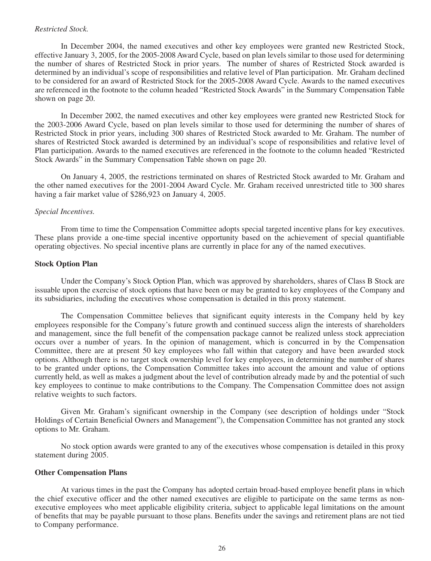#### *Restricted Stock.*

In December 2004, the named executives and other key employees were granted new Restricted Stock, effective January 3, 2005, for the 2005-2008 Award Cycle, based on plan levels similar to those used for determining the number of shares of Restricted Stock in prior years. The number of shares of Restricted Stock awarded is determined by an individual's scope of responsibilities and relative level of Plan participation. Mr. Graham declined to be considered for an award of Restricted Stock for the 2005-2008 Award Cycle. Awards to the named executives are referenced in the footnote to the column headed "Restricted Stock Awards" in the Summary Compensation Table shown on page 20.

In December 2002, the named executives and other key employees were granted new Restricted Stock for the 2003-2006 Award Cycle, based on plan levels similar to those used for determining the number of shares of Restricted Stock in prior years, including 300 shares of Restricted Stock awarded to Mr. Graham. The number of shares of Restricted Stock awarded is determined by an individual's scope of responsibilities and relative level of Plan participation. Awards to the named executives are referenced in the footnote to the column headed "Restricted Stock Awards" in the Summary Compensation Table shown on page 20.

On January 4, 2005, the restrictions terminated on shares of Restricted Stock awarded to Mr. Graham and the other named executives for the 2001-2004 Award Cycle. Mr. Graham received unrestricted title to 300 shares having a fair market value of \$286,923 on January 4, 2005.

#### *Special Incentives.*

From time to time the Compensation Committee adopts special targeted incentive plans for key executives. These plans provide a one-time special incentive opportunity based on the achievement of special quantifiable operating objectives. No special incentive plans are currently in place for any of the named executives.

#### **Stock Option Plan**

Under the Company's Stock Option Plan, which was approved by shareholders, shares of Class B Stock are issuable upon the exercise of stock options that have been or may be granted to key employees of the Company and its subsidiaries, including the executives whose compensation is detailed in this proxy statement.

The Compensation Committee believes that significant equity interests in the Company held by key employees responsible for the Company's future growth and continued success align the interests of shareholders and management, since the full benefit of the compensation package cannot be realized unless stock appreciation occurs over a number of years. In the opinion of management, which is concurred in by the Compensation Committee, there are at present 50 key employees who fall within that category and have been awarded stock options. Although there is no target stock ownership level for key employees, in determining the number of shares to be granted under options, the Compensation Committee takes into account the amount and value of options currently held, as well as makes a judgment about the level of contribution already made by and the potential of such key employees to continue to make contributions to the Company. The Compensation Committee does not assign relative weights to such factors.

Given Mr. Graham's significant ownership in the Company (see description of holdings under "Stock Holdings of Certain Beneficial Owners and Management"), the Compensation Committee has not granted any stock options to Mr. Graham.

No stock option awards were granted to any of the executives whose compensation is detailed in this proxy statement during 2005.

#### **Other Compensation Plans**

At various times in the past the Company has adopted certain broad-based employee benefit plans in which the chief executive officer and the other named executives are eligible to participate on the same terms as nonexecutive employees who meet applicable eligibility criteria, subject to applicable legal limitations on the amount of benefits that may be payable pursuant to those plans. Benefits under the savings and retirement plans are not tied to Company performance.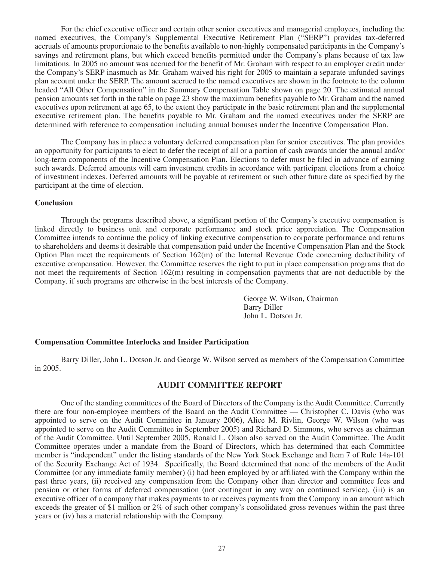For the chief executive officer and certain other senior executives and managerial employees, including the named executives, the Company's Supplemental Executive Retirement Plan ("SERP") provides tax-deferred accruals of amounts proportionate to the benefits available to non-highly compensated participants in the Company's savings and retirement plans, but which exceed benefits permitted under the Company's plans because of tax law limitations. In 2005 no amount was accrued for the benefit of Mr. Graham with respect to an employer credit under the Company's SERP inasmuch as Mr. Graham waived his right for 2005 to maintain a separate unfunded savings plan account under the SERP. The amount accrued to the named executives are shown in the footnote to the column headed "All Other Compensation" in the Summary Compensation Table shown on page 20. The estimated annual pension amounts set forth in the table on page 23 show the maximum benefits payable to Mr. Graham and the named executives upon retirement at age 65, to the extent they participate in the basic retirement plan and the supplemental executive retirement plan. The benefits payable to Mr. Graham and the named executives under the SERP are determined with reference to compensation including annual bonuses under the Incentive Compensation Plan.

The Company has in place a voluntary deferred compensation plan for senior executives. The plan provides an opportunity for participants to elect to defer the receipt of all or a portion of cash awards under the annual and/or long-term components of the Incentive Compensation Plan. Elections to defer must be filed in advance of earning such awards. Deferred amounts will earn investment credits in accordance with participant elections from a choice of investment indexes. Deferred amounts will be payable at retirement or such other future date as specified by the participant at the time of election.

### **Conclusion**

Through the programs described above, a significant portion of the Company's executive compensation is linked directly to business unit and corporate performance and stock price appreciation. The Compensation Committee intends to continue the policy of linking executive compensation to corporate performance and returns to shareholders and deems it desirable that compensation paid under the Incentive Compensation Plan and the Stock Option Plan meet the requirements of Section  $162(m)$  of the Internal Revenue Code concerning deductibility of executive compensation. However, the Committee reserves the right to put in place compensation programs that do not meet the requirements of Section 162(m) resulting in compensation payments that are not deductible by the Company, if such programs are otherwise in the best interests of the Company.

> George W. Wilson, Chairman Barry Diller John L. Dotson Jr.

### **Compensation Committee Interlocks and Insider Participation**

Barry Diller, John L. Dotson Jr. and George W. Wilson served as members of the Compensation Committee in 2005.

## **AUDIT COMMITTEE REPORT**

One of the standing committees of the Board of Directors of the Company is the Audit Committee. Currently there are four non-employee members of the Board on the Audit Committee — Christopher C. Davis (who was appointed to serve on the Audit Committee in January 2006), Alice M. Rivlin, George W. Wilson (who was appointed to serve on the Audit Committee in September 2005) and Richard D. Simmons, who serves as chairman of the Audit Committee. Until September 2005, Ronald L. Olson also served on the Audit Committee. The Audit Committee operates under a mandate from the Board of Directors, which has determined that each Committee member is "independent" under the listing standards of the New York Stock Exchange and Item 7 of Rule 14a-101 of the Security Exchange Act of 1934. Specifically, the Board determined that none of the members of the Audit Committee (or any immediate family member) (i) had been employed by or affiliated with the Company within the past three years, (ii) received any compensation from the Company other than director and committee fees and pension or other forms of deferred compensation (not contingent in any way on continued service), (iii) is an executive officer of a company that makes payments to or receives payments from the Company in an amount which exceeds the greater of \$1 million or 2% of such other company's consolidated gross revenues within the past three years or (iv) has a material relationship with the Company.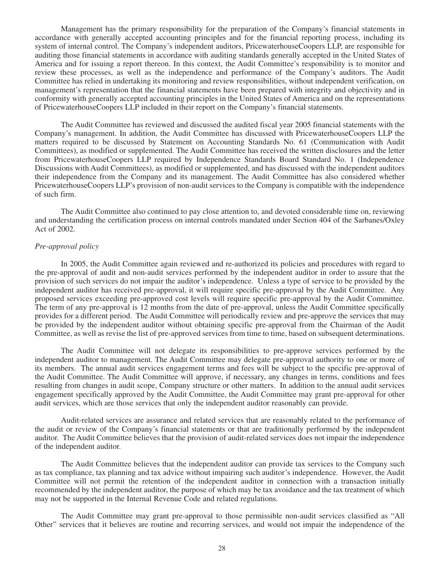Management has the primary responsibility for the preparation of the Company's financial statements in accordance with generally accepted accounting principles and for the financial reporting process, including its system of internal control. The Company's independent auditors, PricewaterhouseCoopers LLP, are responsible for auditing those financial statements in accordance with auditing standards generally accepted in the United States of America and for issuing a report thereon. In this context, the Audit Committee's responsibility is to monitor and review these processes, as well as the independence and performance of the Company's auditors. The Audit Committee has relied in undertaking its monitoring and review responsibilities, without independent verification, on management's representation that the financial statements have been prepared with integrity and objectivity and in conformity with generally accepted accounting principles in the United States of America and on the representations of PricewaterhouseCoopers LLP included in their report on the Company's financial statements.

The Audit Committee has reviewed and discussed the audited fiscal year 2005 financial statements with the Company's management. In addition, the Audit Committee has discussed with PricewaterhouseCoopers LLP the matters required to be discussed by Statement on Accounting Standards No. 61 (Communication with Audit Committees), as modified or supplemented. The Audit Committee has received the written disclosures and the letter from PricewaterhouseCoopers LLP required by Independence Standards Board Standard No. 1 (Independence Discussions with Audit Committees), as modified or supplemented, and has discussed with the independent auditors their independence from the Company and its management. The Audit Committee has also considered whether PricewaterhouseCoopers LLP's provision of non-audit services to the Company is compatible with the independence of such firm.

The Audit Committee also continued to pay close attention to, and devoted considerable time on, reviewing and understanding the certification process on internal controls mandated under Section 404 of the Sarbanes/Oxley Act of 2002.

#### *Pre-approval policy*

In 2005, the Audit Committee again reviewed and re-authorized its policies and procedures with regard to the pre-approval of audit and non-audit services performed by the independent auditor in order to assure that the provision of such services do not impair the auditor's independence. Unless a type of service to be provided by the independent auditor has received pre-approval, it will require specific pre-approval by the Audit Committee. Any proposed services exceeding pre-approved cost levels will require specific pre-approval by the Audit Committee. The term of any pre-approval is 12 months from the date of pre-approval, unless the Audit Committee specifically provides for a different period. The Audit Committee will periodically review and pre-approve the services that may be provided by the independent auditor without obtaining specific pre-approval from the Chairman of the Audit Committee, as well as revise the list of pre-approved services from time to time, based on subsequent determinations.

The Audit Committee will not delegate its responsibilities to pre-approve services performed by the independent auditor to management. The Audit Committee may delegate pre-approval authority to one or more of its members. The annual audit services engagement terms and fees will be subject to the specific pre-approval of the Audit Committee. The Audit Committee will approve, if necessary, any changes in terms, conditions and fees resulting from changes in audit scope, Company structure or other matters. In addition to the annual audit services engagement specifically approved by the Audit Committee, the Audit Committee may grant pre-approval for other audit services, which are those services that only the independent auditor reasonably can provide.

Audit-related services are assurance and related services that are reasonably related to the performance of the audit or review of the Company's financial statements or that are traditionally performed by the independent auditor. The Audit Committee believes that the provision of audit-related services does not impair the independence of the independent auditor.

The Audit Committee believes that the independent auditor can provide tax services to the Company such as tax compliance, tax planning and tax advice without impairing such auditor's independence. However, the Audit Committee will not permit the retention of the independent auditor in connection with a transaction initially recommended by the independent auditor, the purpose of which may be tax avoidance and the tax treatment of which may not be supported in the Internal Revenue Code and related regulations.

The Audit Committee may grant pre-approval to those permissible non-audit services classified as "All Other" services that it believes are routine and recurring services, and would not impair the independence of the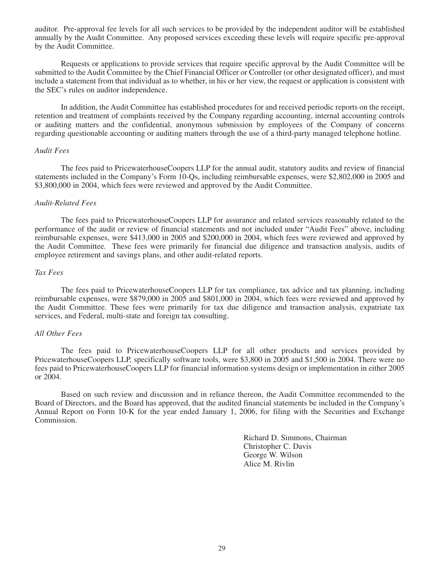auditor. Pre-approval fee levels for all such services to be provided by the independent auditor will be established annually by the Audit Committee. Any proposed services exceeding these levels will require specific pre-approval by the Audit Committee.

Requests or applications to provide services that require specific approval by the Audit Committee will be submitted to the Audit Committee by the Chief Financial Officer or Controller (or other designated officer), and must include a statement from that individual as to whether, in his or her view, the request or application is consistent with the SEC's rules on auditor independence.

In addition, the Audit Committee has established procedures for and received periodic reports on the receipt, retention and treatment of complaints received by the Company regarding accounting, internal accounting controls or auditing matters and the confidential, anonymous submission by employees of the Company of concerns regarding questionable accounting or auditing matters through the use of a third-party managed telephone hotline.

#### *Audit Fees*

The fees paid to PricewaterhouseCoopers LLP for the annual audit, statutory audits and review of financial statements included in the Company's Form 10-Qs, including reimbursable expenses, were \$2,802,000 in 2005 and \$3,800,000 in 2004, which fees were reviewed and approved by the Audit Committee.

#### *Audit-Related Fees*

The fees paid to PricewaterhouseCoopers LLP for assurance and related services reasonably related to the performance of the audit or review of financial statements and not included under "Audit Fees" above, including reimbursable expenses, were \$413,000 in 2005 and \$200,000 in 2004, which fees were reviewed and approved by the Audit Committee. These fees were primarily for financial due diligence and transaction analysis, audits of employee retirement and savings plans, and other audit-related reports.

### *Tax Fees*

The fees paid to PricewaterhouseCoopers LLP for tax compliance, tax advice and tax planning, including reimbursable expenses, were \$879,000 in 2005 and \$801,000 in 2004, which fees were reviewed and approved by the Audit Committee. These fees were primarily for tax due diligence and transaction analysis, expatriate tax services, and Federal, multi-state and foreign tax consulting.

#### *All Other Fees*

The fees paid to PricewaterhouseCoopers LLP for all other products and services provided by PricewaterhouseCoopers LLP, specifically software tools, were \$3,800 in 2005 and \$1,500 in 2004. There were no fees paid to PricewaterhouseCoopers LLP for financial information systems design or implementation in either 2005 or 2004.

Based on such review and discussion and in reliance thereon, the Audit Committee recommended to the Board of Directors, and the Board has approved, that the audited financial statements be included in the Company's Annual Report on Form 10-K for the year ended January 1, 2006, for filing with the Securities and Exchange Commission.

> Richard D. Simmons, Chairman Christopher C. Davis George W. Wilson Alice M. Rivlin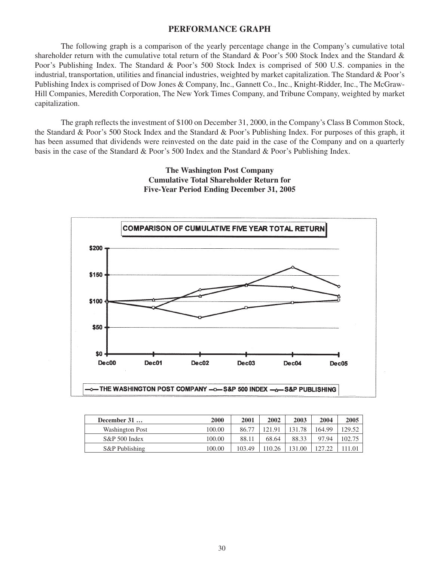## **PERFORMANCE GRAPH**

The following graph is a comparison of the yearly percentage change in the Company's cumulative total shareholder return with the cumulative total return of the Standard & Poor's 500 Stock Index and the Standard & Poor's Publishing Index. The Standard & Poor's 500 Stock Index is comprised of 500 U.S. companies in the industrial, transportation, utilities and financial industries, weighted by market capitalization. The Standard & Poor's Publishing Index is comprised of Dow Jones & Company, Inc., Gannett Co., Inc., Knight-Ridder, Inc., The McGraw-Hill Companies, Meredith Corporation, The New York Times Company, and Tribune Company, weighted by market capitalization.

The graph reflects the investment of \$100 on December 31, 2000, in the Company's Class B Common Stock, the Standard & Poor's 500 Stock Index and the Standard & Poor's Publishing Index. For purposes of this graph, it has been assumed that dividends were reinvested on the date paid in the case of the Company and on a quarterly basis in the case of the Standard & Poor's 500 Index and the Standard & Poor's Publishing Index.

# **The Washington Post Company Cumulative Total Shareholder Return for Five-Year Period Ending December 31, 2005**



| December 31            | 2000   | 2001   | 2002   | 2003   | 2004   | 2005   |
|------------------------|--------|--------|--------|--------|--------|--------|
| <b>Washington Post</b> | 100.00 | 86.77  | 121.91 | 131.78 | 164.99 | 129.52 |
| S&P 500 Index          | 100.00 | 88.11  | 68.64  | 88.33  | 97.94  | 102.75 |
| S&P Publishing         | 100.00 | 103.49 | 10.26  | 131.00 | 127.22 | 11.01  |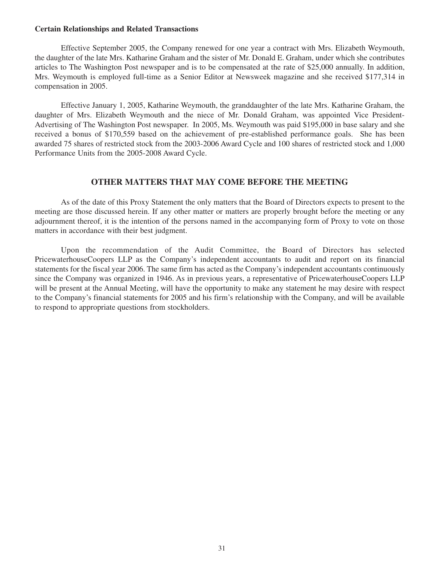#### **Certain Relationships and Related Transactions**

Effective September 2005, the Company renewed for one year a contract with Mrs. Elizabeth Weymouth, the daughter of the late Mrs. Katharine Graham and the sister of Mr. Donald E. Graham, under which she contributes articles to The Washington Post newspaper and is to be compensated at the rate of \$25,000 annually. In addition, Mrs. Weymouth is employed full-time as a Senior Editor at Newsweek magazine and she received \$177,314 in compensation in 2005.

Effective January 1, 2005, Katharine Weymouth, the granddaughter of the late Mrs. Katharine Graham, the daughter of Mrs. Elizabeth Weymouth and the niece of Mr. Donald Graham, was appointed Vice President-Advertising of The Washington Post newspaper. In 2005, Ms. Weymouth was paid \$195,000 in base salary and she received a bonus of \$170,559 based on the achievement of pre-established performance goals. She has been awarded 75 shares of restricted stock from the 2003-2006 Award Cycle and 100 shares of restricted stock and 1,000 Performance Units from the 2005-2008 Award Cycle.

## **OTHER MATTERS THAT MAY COME BEFORE THE MEETING**

As of the date of this Proxy Statement the only matters that the Board of Directors expects to present to the meeting are those discussed herein. If any other matter or matters are properly brought before the meeting or any adjournment thereof, it is the intention of the persons named in the accompanying form of Proxy to vote on those matters in accordance with their best judgment.

Upon the recommendation of the Audit Committee, the Board of Directors has selected PricewaterhouseCoopers LLP as the Company's independent accountants to audit and report on its financial statements for the fiscal year 2006. The same firm has acted as the Company's independent accountants continuously since the Company was organized in 1946. As in previous years, a representative of PricewaterhouseCoopers LLP will be present at the Annual Meeting, will have the opportunity to make any statement he may desire with respect to the Company's financial statements for 2005 and his firm's relationship with the Company, and will be available to respond to appropriate questions from stockholders.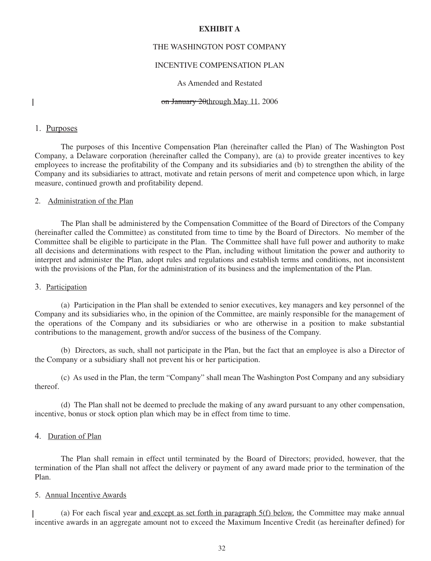#### **EXHIBIT A**

## THE WASHINGTON POST COMPANY

## INCENTIVE COMPENSATION PLAN

#### As Amended and Restated

 $\mathsf{l}$ 

#### on January 20through May 11, 2006

## 1. Purposes

The purposes of this Incentive Compensation Plan (hereinafter called the Plan) of The Washington Post Company, a Delaware corporation (hereinafter called the Company), are (a) to provide greater incentives to key employees to increase the profitability of the Company and its subsidiaries and (b) to strengthen the ability of the Company and its subsidiaries to attract, motivate and retain persons of merit and competence upon which, in large measure, continued growth and profitability depend.

### 2. Administration of the Plan

The Plan shall be administered by the Compensation Committee of the Board of Directors of the Company (hereinafter called the Committee) as constituted from time to time by the Board of Directors. No member of the Committee shall be eligible to participate in the Plan. The Committee shall have full power and authority to make all decisions and determinations with respect to the Plan, including without limitation the power and authority to interpret and administer the Plan, adopt rules and regulations and establish terms and conditions, not inconsistent with the provisions of the Plan, for the administration of its business and the implementation of the Plan.

#### 3. Participation

(a) Participation in the Plan shall be extended to senior executives, key managers and key personnel of the Company and its subsidiaries who, in the opinion of the Committee, are mainly responsible for the management of the operations of the Company and its subsidiaries or who are otherwise in a position to make substantial contributions to the management, growth and/or success of the business of the Company.

(b) Directors, as such, shall not participate in the Plan, but the fact that an employee is also a Director of the Company or a subsidiary shall not prevent his or her participation.

(c) As used in the Plan, the term "Company" shall mean The Washington Post Company and any subsidiary thereof.

(d) The Plan shall not be deemed to preclude the making of any award pursuant to any other compensation, incentive, bonus or stock option plan which may be in effect from time to time.

#### 4. Duration of Plan

The Plan shall remain in effect until terminated by the Board of Directors; provided, however, that the termination of the Plan shall not affect the delivery or payment of any award made prior to the termination of the Plan.

### 5. Annual Incentive Awards

(a) For each fiscal year and except as set forth in paragraph 5(f) below, the Committee may make annual incentive awards in an aggregate amount not to exceed the Maximum Incentive Credit (as hereinafter defined) for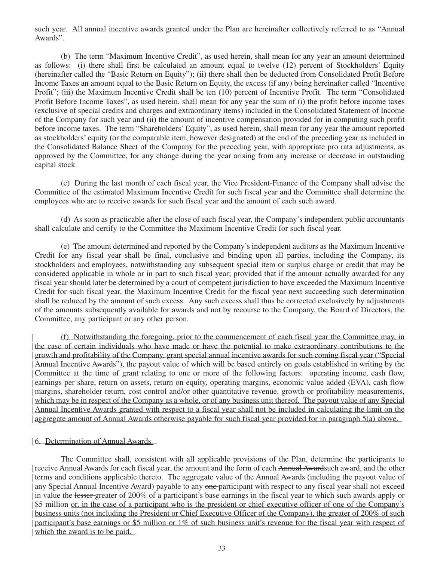such year. All annual incentive awards granted under the Plan are hereinafter collectively referred to as "Annual Awards".

(b) The term "Maximum Incentive Credit", as used herein, shall mean for any year an amount determined as follows: (i) there shall first be calculated an amount equal to twelve (12) percent of Stockholders' Equity (hereinafter called the "Basic Return on Equity"); (ii) there shall then be deducted from Consolidated Profit Before Income Taxes an amount equal to the Basic Return on Equity, the excess (if any) being hereinafter called "Incentive Profit"; (iii) the Maximum Incentive Credit shall be ten (10) percent of Incentive Profit. The term "Consolidated Profit Before Income Taxes", as used herein, shall mean for any year the sum of (i) the profit before income taxes (exclusive of special credits and charges and extraordinary items) included in the Consolidated Statement of Income of the Company for such year and (ii) the amount of incentive compensation provided for in computing such profit before income taxes. The term "Shareholders' Equity", as used herein, shall mean for any year the amount reported as stockholders' equity (or the comparable item, however designated) at the end of the preceding year as included in the Consolidated Balance Sheet of the Company for the preceding year, with appropriate pro rata adjustments, as approved by the Committee, for any change during the year arising from any increase or decrease in outstanding capital stock.

(c) During the last month of each fiscal year, the Vice President-Finance of the Company shall advise the Committee of the estimated Maximum Incentive Credit for such fiscal year and the Committee shall determine the employees who are to receive awards for such fiscal year and the amount of each such award.

(d) As soon as practicable after the close of each fiscal year, the Company's independent public accountants shall calculate and certify to the Committee the Maximum Incentive Credit for such fiscal year.

(e) The amount determined and reported by the Company's independent auditors as the Maximum Incentive Credit for any fiscal year shall be final, conclusive and binding upon all parties, including the Company, its stockholders and employees, notwithstanding any subsequent special item or surplus charge or credit that may be considered applicable in whole or in part to such fiscal year; provided that if the amount actually awarded for any fiscal year should later be determined by a court of competent jurisdiction to have exceeded the Maximum Incentive Credit for such fiscal year, the Maximum Incentive Credit for the fiscal year next succeeding such determination shall be reduced by the amount of such excess. Any such excess shall thus be corrected exclusively by adjustments of the amounts subsequently available for awards and not by recourse to the Company, the Board of Directors, the Committee, any participant or any other person.

(f) Notwithstanding the foregoing, prior to the commencement of each fiscal year the Committee may, in the case of certain individuals who have made or have the potential to make extraordinary contributions to the growth and profitability of the Company, grant special annual incentive awards for such coming fiscal year ("Special Annual Incentive Awards"), the payout value of which will be based entirely on goals established in writing by the Committee at the time of grant relating to one or more of the following factors: operating income, cash flow, earnings per share, return on assets, return on equity, operating margins, economic value added (EVA), cash flow margins, shareholder return, cost control and/or other quantitative revenue, growth or profitability measurements, which may be in respect of the Company as a whole, or of any business unit thereof. The payout value of any Special Annual Incentive Awards granted with respect to a fiscal year shall not be included in calculating the limit on the aggregate amount of Annual Awards otherwise payable for such fiscal year provided for in paragraph 5(a) above.

## 6. Determination of Annual Awards

The Committee shall, consistent with all applicable provisions of the Plan, determine the participants to receive Annual Awards for each fiscal year, the amount and the form of each Annual Awardsuch award, and the other terms and conditions applicable thereto. The aggregate value of the Annual Awards (including the payout value of any Special Annual Incentive Award) payable to any one-participant with respect to any fiscal year shall not exceed in value the lesser greater of 200% of a participant's base earnings in the fiscal year to which such awards apply or \$5 million or, in the case of a participant who is the president or chief executive officer of one of the Company's business units (not including the President or Chief Executive Officer of the Company), the greater of 200% of such participant's base earnings or \$5 million or 1% of such business unit's revenue for the fiscal year with respect of which the award is to be paid.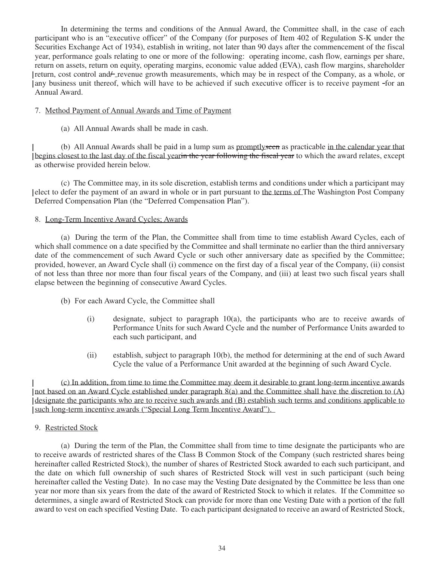In determining the terms and conditions of the Annual Award, the Committee shall, in the case of each participant who is an "executive officer" of the Company (for purposes of Item 402 of Regulation S-K under the Securities Exchange Act of 1934), establish in writing, not later than 90 days after the commencement of the fiscal year, performance goals relating to one or more of the following: operating income, cash flow, earnings per share, return on assets, return on equity, operating margins, economic value added (EVA), cash flow margins, shareholder return, cost control and - revenue growth measurements, which may be in respect of the Company, as a whole, or any business unit thereof, which will have to be achieved if such executive officer is to receive payment -for an Annual Award.

## 7. Method Payment of Annual Awards and Time of Payment

(a) All Annual Awards shall be made in cash.

(b) All Annual Awards shall be paid in a lump sum as promptlyseen as practicable in the calendar year that begins closest to the last day of the fiscal yearin the year following the fiscal year to which the award relates, except as otherwise provided herein below.

(c) The Committee may, in its sole discretion, establish terms and conditions under which a participant may elect to defer the payment of an award in whole or in part pursuant to the terms of The Washington Post Company Deferred Compensation Plan (the "Deferred Compensation Plan").

## 8. Long-Term Incentive Award Cycles; Awards

(a) During the term of the Plan, the Committee shall from time to time establish Award Cycles, each of which shall commence on a date specified by the Committee and shall terminate no earlier than the third anniversary date of the commencement of such Award Cycle or such other anniversary date as specified by the Committee; provided, however, an Award Cycle shall (i) commence on the first day of a fiscal year of the Company, (ii) consist of not less than three nor more than four fiscal years of the Company, and (iii) at least two such fiscal years shall elapse between the beginning of consecutive Award Cycles.

- (b) For each Award Cycle, the Committee shall
	- (i) designate, subject to paragraph 10(a), the participants who are to receive awards of Performance Units for such Award Cycle and the number of Performance Units awarded to each such participant, and
	- (ii) establish, subject to paragraph 10(b), the method for determining at the end of such Award Cycle the value of a Performance Unit awarded at the beginning of such Award Cycle.

(c) In addition, from time to time the Committee may deem it desirable to grant long-term incentive awards not based on an Award Cycle established under paragraph 8(a) and the Committee shall have the discretion to (A) designate the participants who are to receive such awards and (B) establish such terms and conditions applicable to such long-term incentive awards ("Special Long Term Incentive Award").

## 9. Restricted Stock

(a) During the term of the Plan, the Committee shall from time to time designate the participants who are to receive awards of restricted shares of the Class B Common Stock of the Company (such restricted shares being hereinafter called Restricted Stock), the number of shares of Restricted Stock awarded to each such participant, and the date on which full ownership of such shares of Restricted Stock will vest in such participant (such being hereinafter called the Vesting Date). In no case may the Vesting Date designated by the Committee be less than one year nor more than six years from the date of the award of Restricted Stock to which it relates. If the Committee so determines, a single award of Restricted Stock can provide for more than one Vesting Date with a portion of the full award to vest on each specified Vesting Date. To each participant designated to receive an award of Restricted Stock,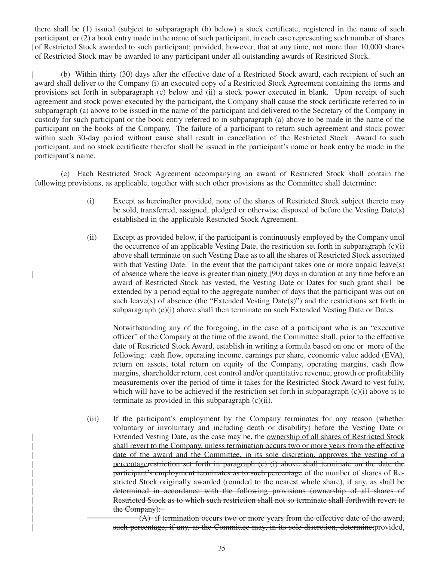there shall be (1) issued (subject to subparagraph (b) below) a stock certificate, registered in the name of such participant, or (2) a book entry made in the name of such participant, in each case representing such number of shares of Restricted Stock awarded to such participant; provided, however, that at any time, not more than 10,000 shares of Restricted Stock may be awarded to any participant under all outstanding awards of Restricted Stock.

(b) Within thirty (30) days after the effective date of a Restricted Stock award, each recipient of such an award shall deliver to the Company (i) an executed copy of a Restricted Stock Agreement containing the terms and provisions set forth in subparagraph (c) below and (ii) a stock power executed in blank. Upon receipt of such agreement and stock power executed by the participant, the Company shall cause the stock certificate referred to in subparagraph (a) above to be issued in the name of the participant and delivered to the Secretary of the Company in custody for such participant or the book entry referred to in subparagraph (a) above to be made in the name of the participant on the books of the Company. The failure of a participant to return such agreement and stock power within such 30-day period without cause shall result in cancellation of the Restricted Stock Award to such participant, and no stock certificate therefor shall be issued in the participant's name or book entry be made in the participant's name.

(c) Each Restricted Stock Agreement accompanying an award of Restricted Stock shall contain the following provisions, as applicable, together with such other provisions as the Committee shall determine:

 $\mathsf{l}$ 

- (i) Except as hereinafter provided, none of the shares of Restricted Stock subject thereto may be sold, transferred, assigned, pledged or otherwise disposed of before the Vesting Date(s) established in the applicable Restricted Stock Agreement.
- (ii) Except as provided below, if the participant is continuously employed by the Company until the occurrence of an applicable Vesting Date, the restriction set forth in subparagraph  $(c)(i)$ above shall terminate on such Vesting Date as to all the shares of Restricted Stock associated with that Vesting Date. In the event that the participant takes one or more unpaid leave(s) of absence where the leave is greater than ninety (90) days in duration at any time before an award of Restricted Stock has vested, the Vesting Date or Dates for such grant shall be extended by a period equal to the aggregate number of days that the participant was out on such leave(s) of absence (the "Extended Vesting Date(s)") and the restrictions set forth in subparagraph (c)(i) above shall then terminate on such Extended Vesting Date or Dates.

Notwithstanding any of the foregoing, in the case of a participant who is an "executive officer" of the Company at the time of the award, the Committee shall, prior to the effective date of Restricted Stock Award, establish in writing a formula based on one or more of the following: cash flow, operating income, earnings per share, economic value added (EVA), return on assets, total return on equity of the Company, operating margins, cash flow margins, shareholder return, cost control and/or quantitative revenue, growth or profitability measurements over the period of time it takes for the Restricted Stock Award to vest fully, which will have to be achieved if the restriction set forth in subparagraph  $(c)(i)$  above is to terminate as provided in this subparagraph (c)(ii).

(iii) If the participant's employment by the Company terminates for any reason (whether voluntary or involuntary and including death or disability) before the Vesting Date or Extended Vesting Date, as the case may be, the ownership of all shares of Restricted Stock shall revert to the Company, unless termination occurs two or more years from the effective date of the award and the Committee, in its sole discretion, approves the vesting of a percentagerestriction set forth in paragraph (c) (i) above shall terminate on the date the participant's employment terminates as to such percentage of the number of shares of Restricted Stock originally awarded (rounded to the nearest whole share), if any, as shall be determined in accordance with the following provisions (ownership of all shares of Restricted Stock as to which such restriction shall not so terminate shall forthwith revert to the Company):

(A) if termination occurs two or more years from the effective date of the award, such percentage, if any, as the Committee may, in its sole discretion, determine; provided,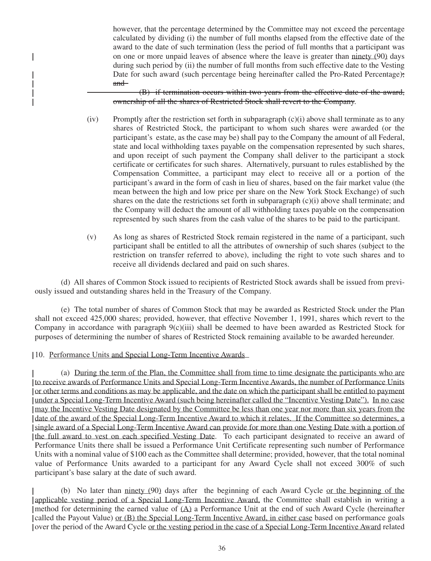however, that the percentage determined by the Committee may not exceed the percentage calculated by dividing (i) the number of full months elapsed from the effective date of the award to the date of such termination (less the period of full months that a participant was on one or more unpaid leaves of absence where the leave is greater than ninety (90) days during such period by (ii) the number of full months from such effective date to the Vesting Date for such award (such percentage being hereinafter called the Pro-Rated Percentage); and

(B) if termination occurs within two years from the effective date of the award, ownership of all the shares of Restricted Stock shall revert to the Company.

- (iv) Promptly after the restriction set forth in subparagraph (c)(i) above shall terminate as to any shares of Restricted Stock, the participant to whom such shares were awarded (or the participant's estate, as the case may be) shall pay to the Company the amount of all Federal, state and local withholding taxes payable on the compensation represented by such shares, and upon receipt of such payment the Company shall deliver to the participant a stock certificate or certificates for such shares. Alternatively, pursuant to rules established by the Compensation Committee, a participant may elect to receive all or a portion of the participant's award in the form of cash in lieu of shares, based on the fair market value (the mean between the high and low price per share on the New York Stock Exchange) of such shares on the date the restrictions set forth in subparagraph  $(c)(i)$  above shall terminate; and the Company will deduct the amount of all withholding taxes payable on the compensation represented by such shares from the cash value of the shares to be paid to the participant.
- (v) As long as shares of Restricted Stock remain registered in the name of a participant, such participant shall be entitled to all the attributes of ownership of such shares (subject to the restriction on transfer referred to above), including the right to vote such shares and to receive all dividends declared and paid on such shares.

(d) All shares of Common Stock issued to recipients of Restricted Stock awards shall be issued from previously issued and outstanding shares held in the Treasury of the Company.

(e) The total number of shares of Common Stock that may be awarded as Restricted Stock under the Plan shall not exceed 425,000 shares; provided, however, that effective November 1, 1991, shares which revert to the Company in accordance with paragraph 9(c)(iii) shall be deemed to have been awarded as Restricted Stock for purposes of determining the number of shares of Restricted Stock remaining available to be awarded hereunder.

## 10. Performance Units and Special Long-Term Incentive Awards

 $\mathbf{I}$ 

(a) During the term of the Plan, the Committee shall from time to time designate the participants who are to receive awards of Performance Units and Special Long-Term Incentive Awards, the number of Performance Units or other terms and conditions as may be applicable, and the date on which the participant shall be entitled to payment under a Special Long-Term Incentive Award (such being hereinafter called the "Incentive Vesting Date"). In no case may the Incentive Vesting Date designated by the Committee be less than one year nor more than six years from the date of the award of the Special Long-Term Incentive Award to which it relates. If the Committee so determines, a single award of a Special Long-Term Incentive Award can provide for more than one Vesting Date with a portion of the full award to vest on each specified Vesting Date. To each participant designated to receive an award of Performance Units there shall be issued a Performance Unit Certificate representing such number of Performance Units with a nominal value of \$100 each as the Committee shall determine; provided, however, that the total nominal value of Performance Units awarded to a participant for any Award Cycle shall not exceed 300% of such participant's base salary at the date of such award.

(b) No later than ninety (90) days after the beginning of each Award Cycle or the beginning of the applicable vesting period of a Special Long-Term Incentive Award, the Committee shall establish in writing a method for determining the earned value of  $(A)$  a Performance Unit at the end of such Award Cycle (hereinafter called the Payout Value) or (B) the Special Long-Term Incentive Award, in either case based on performance goals over the period of the Award Cycle or the vesting period in the case of a Special Long-Term Incentive Award related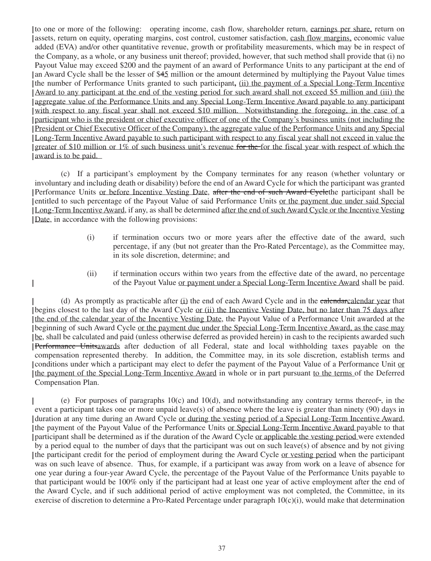to one or more of the following: operating income, cash flow, shareholder return, earnings per share, return on assets, return on equity, operating margins, cost control, customer satisfaction, cash flow margins, economic value added (EVA) and/or other quantitative revenue, growth or profitability measurements, which may be in respect of the Company, as a whole, or any business unit thereof; provided, however, that such method shall provide that (i) no Payout Value may exceed \$200 and the payment of an award of Performance Units to any participant at the end of an Award Cycle shall be the lesser of \$45 million or the amount determined by multiplying the Payout Value times the number of Performance Units granted to such participant**,** (ii) the payment of a Special Long-Term Incentive Award to any participant at the end of the vesting period for such award shall not exceed \$5 million and (iii) the aggregate value of the Performance Units and any Special Long-Term Incentive Award payable to any participant with respect to any fiscal year shall not exceed \$10 million. Notwithstanding the foregoing, in the case of a participant who is the president or chief executive officer of one of the Company's business units (not including the President or Chief Executive Officer of the Company), the aggregate value of the Performance Units and any Special Long-Term Incentive Award payable to such participant with respect to any fiscal year shall not exceed in value the greater of \$10 million or 1% of such business unit's revenue for the for the fiscal year with respect of which the award is to be paid.

(c) If a participant's employment by the Company terminates for any reason (whether voluntary or involuntary and including death or disability) before the end of an Award Cycle for which the participant was granted Performance Units or before Incentive Vesting Date, after the end of such Award Cyclethe participant shall be entitled to such percentage of the Payout Value of said Performance Units or the payment due under said Special Long-Term Incentive Award, if any, as shall be determined after the end of such Award Cycle or the Incentive Vesting Date, in accordance with the following provisions:

- (i) if termination occurs two or more years after the effective date of the award, such percentage, if any (but not greater than the Pro-Rated Percentage), as the Committee may, in its sole discretion, determine; and
- (ii) if termination occurs within two years from the effective date of the award, no percentage of the Payout Value or payment under a Special Long-Term Incentive Award shall be paid.

(d) As promptly as practicable after (i) the end of each Award Cycle and in the ealendarcalendar year that begins closest to the last day of the Award Cycle or (ii) the Incentive Vesting Date, but no later than 75 days after the end of the calendar year of the Incentive Vesting Date, the Payout Value of a Performance Unit awarded at the beginning of such Award Cycle or the payment due under the Special Long-Term Incentive Award, as the case may be, shall be calculated and paid (unless otherwise deferred as provided herein) in cash to the recipients awarded such Performance Unitsawards after deduction of all Federal, state and local withholding taxes payable on the compensation represented thereby. In addition, the Committee may, in its sole discretion, establish terms and conditions under which a participant may elect to defer the payment of the Payout Value of a Performance Unit or the payment of the Special Long-Term Incentive Award in whole or in part pursuant to the terms of the Deferred Compensation Plan.

 $\mathsf{l}$ 

(e) For purposes of paragraphs  $10(c)$  and  $10(d)$ , and notwithstanding any contrary terms thereof-, in the event a participant takes one or more unpaid leave(s) of absence where the leave is greater than ninety (90) days in duration at any time during an Award Cycle or during the vesting period of a Special Long-Term Incentive Award, the payment of the Payout Value of the Performance Units or Special Long-Term Incentive Award payable to that participant shall be determined as if the duration of the Award Cycle or applicable the vesting period were extended by a period equal to the number of days that the participant was out on such leave(s) of absence and by not giving the participant credit for the period of employment during the Award Cycle or vesting period when the participant was on such leave of absence. Thus, for example, if a participant was away from work on a leave of absence for one year during a four-year Award Cycle, the percentage of the Payout Value of the Performance Units payable to that participant would be 100% only if the participant had at least one year of active employment after the end of the Award Cycle, and if such additional period of active employment was not completed, the Committee, in its exercise of discretion to determine a Pro-Rated Percentage under paragraph  $10(c)(i)$ , would make that determination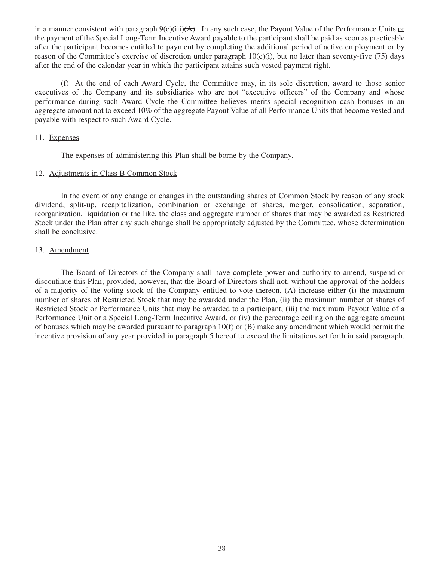In a manner consistent with paragraph  $9(c)(iii)(A)$ . In any such case, the Payout Value of the Performance Units or the payment of the Special Long-Term Incentive Award payable to the participant shall be paid as soon as practicable after the participant becomes entitled to payment by completing the additional period of active employment or by reason of the Committee's exercise of discretion under paragraph  $10(c)(i)$ , but no later than seventy-five (75) days after the end of the calendar year in which the participant attains such vested payment right.

(f) At the end of each Award Cycle, the Committee may, in its sole discretion, award to those senior executives of the Company and its subsidiaries who are not "executive officers" of the Company and whose performance during such Award Cycle the Committee believes merits special recognition cash bonuses in an aggregate amount not to exceed 10% of the aggregate Payout Value of all Performance Units that become vested and payable with respect to such Award Cycle.

## 11. Expenses

The expenses of administering this Plan shall be borne by the Company.

### 12. Adjustments in Class B Common Stock

In the event of any change or changes in the outstanding shares of Common Stock by reason of any stock dividend, split-up, recapitalization, combination or exchange of shares, merger, consolidation, separation, reorganization, liquidation or the like, the class and aggregate number of shares that may be awarded as Restricted Stock under the Plan after any such change shall be appropriately adjusted by the Committee, whose determination shall be conclusive.

## 13. Amendment

The Board of Directors of the Company shall have complete power and authority to amend, suspend or discontinue this Plan; provided, however, that the Board of Directors shall not, without the approval of the holders of a majority of the voting stock of the Company entitled to vote thereon, (A) increase either (i) the maximum number of shares of Restricted Stock that may be awarded under the Plan, (ii) the maximum number of shares of Restricted Stock or Performance Units that may be awarded to a participant, (iii) the maximum Payout Value of a Performance Unit or a Special Long-Term Incentive Award, or (iv) the percentage ceiling on the aggregate amount of bonuses which may be awarded pursuant to paragraph 10(f) or (B) make any amendment which would permit the incentive provision of any year provided in paragraph 5 hereof to exceed the limitations set forth in said paragraph.